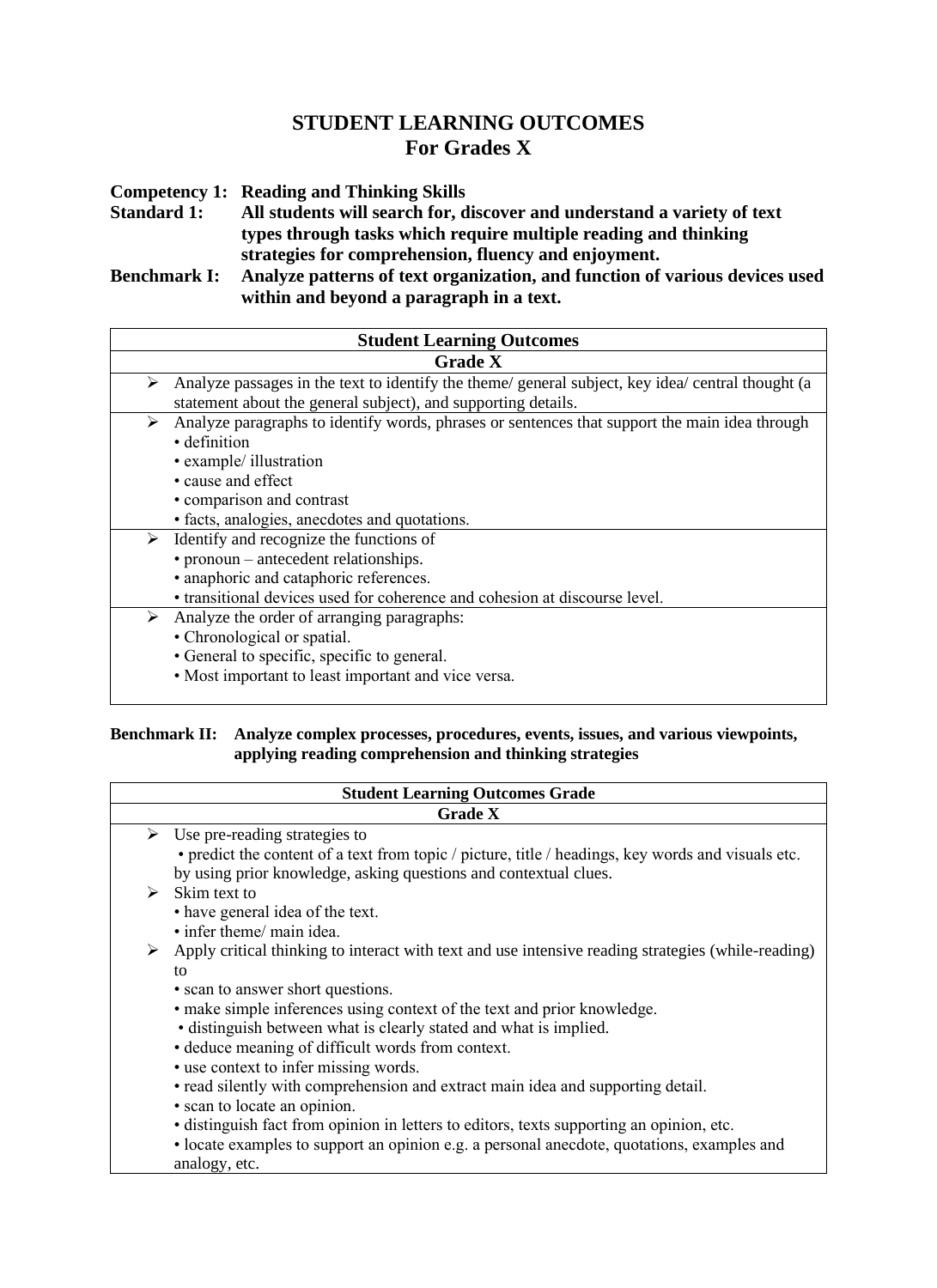## **STUDENT LEARNING OUTCOMES For Grades X**

**Competency 1: Reading and Thinking Skills** 

**Standard 1: All students will search for, discover and understand a variety of text types through tasks which require multiple reading and thinking strategies for comprehension, fluency and enjoyment.** 

**Benchmark I: Analyze patterns of text organization, and function of various devices used within and beyond a paragraph in a text.** 

| <b>Student Learning Outcomes</b>                                                                                                                                                                              |
|---------------------------------------------------------------------------------------------------------------------------------------------------------------------------------------------------------------|
| <b>Grade X</b>                                                                                                                                                                                                |
| Analyze passages in the text to identify the theme/ general subject, key idea/ central thought (a<br>➤<br>statement about the general subject), and supporting details.                                       |
| Analyze paragraphs to identify words, phrases or sentences that support the main idea through<br>➤<br>• definition<br>• example/ illustration<br>• cause and effect<br>• comparison and contrast              |
| • facts, analogies, anecdotes and quotations.                                                                                                                                                                 |
| Identify and recognize the functions of<br>➤<br>• pronoun – antecedent relationships.<br>• anaphoric and cataphoric references.<br>• transitional devices used for coherence and cohesion at discourse level. |
| Analyze the order of arranging paragraphs:<br>➤<br>• Chronological or spatial.<br>• General to specific, specific to general.<br>• Most important to least important and vice versa.                          |

#### **Benchmark II: Analyze complex processes, procedures, events, issues, and various viewpoints, applying reading comprehension and thinking strategies**

| <b>Student Learning Outcomes Grade</b> |                                                                                                                                                                                                                                                                                                                                                                                                                                                                                                                                                                                                                                                                                                                           |
|----------------------------------------|---------------------------------------------------------------------------------------------------------------------------------------------------------------------------------------------------------------------------------------------------------------------------------------------------------------------------------------------------------------------------------------------------------------------------------------------------------------------------------------------------------------------------------------------------------------------------------------------------------------------------------------------------------------------------------------------------------------------------|
|                                        | <b>Grade X</b>                                                                                                                                                                                                                                                                                                                                                                                                                                                                                                                                                                                                                                                                                                            |
| ➤                                      | Use pre-reading strategies to<br>• predict the content of a text from topic / picture, title / headings, key words and visuals etc.<br>by using prior knowledge, asking questions and contextual clues.                                                                                                                                                                                                                                                                                                                                                                                                                                                                                                                   |
| ⋗                                      | Skim text to<br>• have general idea of the text.<br>• infer theme/ main idea.                                                                                                                                                                                                                                                                                                                                                                                                                                                                                                                                                                                                                                             |
| ➤                                      | Apply critical thinking to interact with text and use intensive reading strategies (while-reading)<br>to<br>• scan to answer short questions.<br>• make simple inferences using context of the text and prior knowledge.<br>• distinguish between what is clearly stated and what is implied.<br>• deduce meaning of difficult words from context.<br>• use context to infer missing words.<br>• read silently with comprehension and extract main idea and supporting detail.<br>• scan to locate an opinion.<br>· distinguish fact from opinion in letters to editors, texts supporting an opinion, etc.<br>• locate examples to support an opinion e.g. a personal anecdote, quotations, examples and<br>analogy, etc. |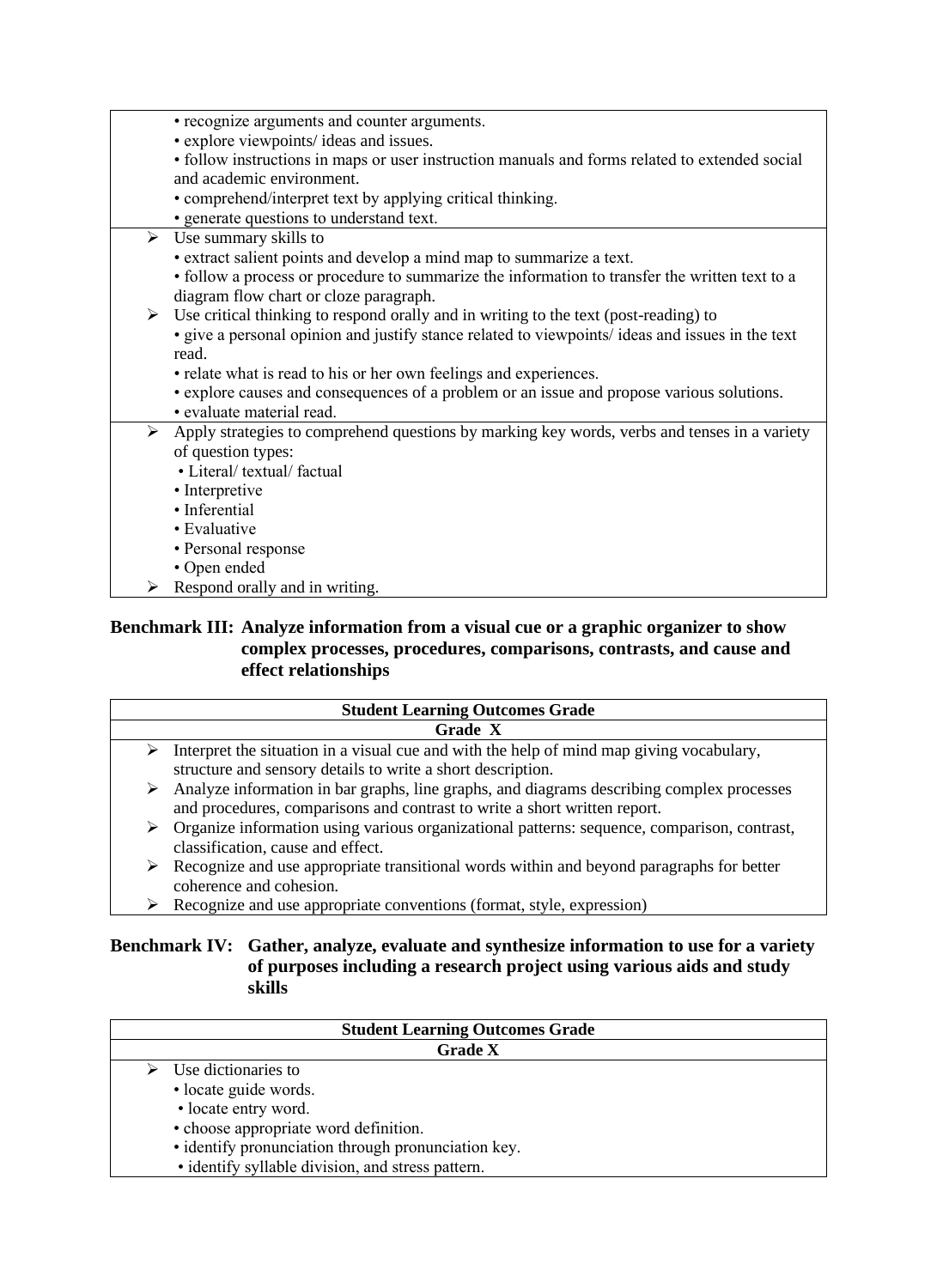| • recognize arguments and counter arguments.                                                                  |
|---------------------------------------------------------------------------------------------------------------|
| • explore viewpoints/ ideas and issues.                                                                       |
|                                                                                                               |
| • follow instructions in maps or user instruction manuals and forms related to extended social                |
| and academic environment.                                                                                     |
| • comprehend/interpret text by applying critical thinking.                                                    |
| · generate questions to understand text.                                                                      |
| $\triangleright$ Use summary skills to                                                                        |
| • extract salient points and develop a mind map to summarize a text.                                          |
| • follow a process or procedure to summarize the information to transfer the written text to a                |
| diagram flow chart or cloze paragraph.                                                                        |
| $\triangleright$ Use critical thinking to respond orally and in writing to the text (post-reading) to         |
| · give a personal opinion and justify stance related to viewpoints/ ideas and issues in the text              |
| read.                                                                                                         |
|                                                                                                               |
| • relate what is read to his or her own feelings and experiences.                                             |
| • explore causes and consequences of a problem or an issue and propose various solutions.                     |
| · evaluate material read.                                                                                     |
| $\triangleright$ Apply strategies to comprehend questions by marking key words, verbs and tenses in a variety |
| of question types:                                                                                            |
| • Literal/ textual/ factual                                                                                   |
| • Interpretive                                                                                                |
| · Inferential                                                                                                 |
| • Evaluative                                                                                                  |
| • Personal response                                                                                           |
| • Open ended                                                                                                  |
| Respond orally and in writing.                                                                                |

#### **Benchmark III: Analyze information from a visual cue or a graphic organizer to show complex processes, procedures, comparisons, contrasts, and cause and effect relationships**

|   | <b>Student Learning Outcomes Grade</b>                                                      |
|---|---------------------------------------------------------------------------------------------|
|   | Grade X                                                                                     |
| ➤ | Interpret the situation in a visual cue and with the help of mind map giving vocabulary,    |
|   | structure and sensory details to write a short description.                                 |
| ➤ | Analyze information in bar graphs, line graphs, and diagrams describing complex processes   |
|   | and procedures, comparisons and contrast to write a short written report.                   |
| ➤ | Organize information using various organizational patterns: sequence, comparison, contrast, |
|   | classification, cause and effect.                                                           |
| ➤ | Recognize and use appropriate transitional words within and beyond paragraphs for better    |
|   | coherence and cohesion.                                                                     |
|   | Recognize and use appropriate conventions (format, style, expression)                       |

➢ Recognize and use appropriate conventions (format, style, expression)

#### **Benchmark IV: Gather, analyze, evaluate and synthesize information to use for a variety of purposes including a research project using various aids and study skills**

| <b>Student Learning Outcomes Grade</b>              |
|-----------------------------------------------------|
| <b>Grade X</b>                                      |
| $\triangleright$ Use dictionaries to                |
| · locate guide words.                               |
| • locate entry word.                                |
| • choose appropriate word definition.               |
| · identify pronunciation through pronunciation key. |
| • identify syllable division, and stress pattern.   |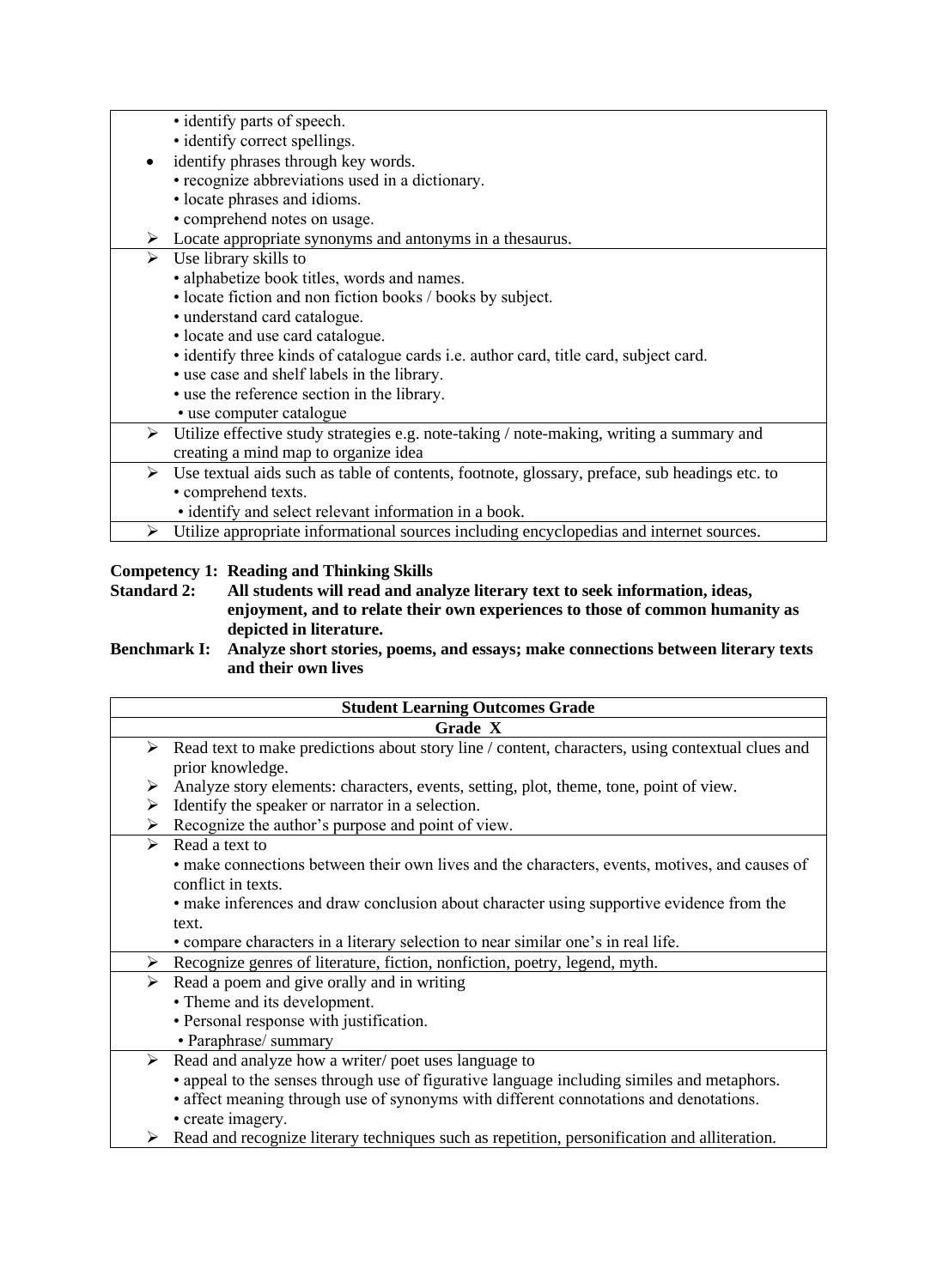|   | • identify parts of speech.                                                                   |
|---|-----------------------------------------------------------------------------------------------|
|   | • identify correct spellings.                                                                 |
|   | identify phrases through key words.                                                           |
|   | • recognize abbreviations used in a dictionary.                                               |
|   | • locate phrases and idioms.                                                                  |
|   | • comprehend notes on usage.                                                                  |
|   | $\triangleright$ Locate appropriate synonyms and antonyms in a the saurus.                    |
| ➤ | Use library skills to                                                                         |
|   | · alphabetize book titles, words and names.                                                   |
|   | • locate fiction and non fiction books / books by subject.                                    |
|   | · understand card catalogue.                                                                  |
|   | • locate and use card catalogue.                                                              |
|   | · identify three kinds of catalogue cards i.e. author card, title card, subject card.         |
|   | • use case and shelf labels in the library.                                                   |
|   | • use the reference section in the library.                                                   |
|   | • use computer catalogue                                                                      |
| ➤ | Utilize effective study strategies e.g. note-taking / note-making, writing a summary and      |
|   | creating a mind map to organize idea                                                          |
| ➤ | Use textual aids such as table of contents, footnote, glossary, preface, sub headings etc. to |
|   | · comprehend texts.                                                                           |
|   | • identify and select relevant information in a book.                                         |
| ➤ | Utilize appropriate informational sources including encyclopedias and internet sources.       |
|   |                                                                                               |

# **Competency 1: Reading and Thinking Skills<br>Standard 2: All students will read and analysis.**

**Standard 2: All students will read and analyze literary text to seek information, ideas, enjoyment, and to relate their own experiences to those of common humanity as depicted in literature.** 

**Benchmark I: Analyze short stories, poems, and essays; make connections between literary texts and their own lives**

|                       | <b>Student Learning Outcomes Grade</b>                                                                               |
|-----------------------|----------------------------------------------------------------------------------------------------------------------|
|                       | Grade X                                                                                                              |
| ➤                     | Read text to make predictions about story line / content, characters, using contextual clues and<br>prior knowledge. |
| ➤                     | Analyze story elements: characters, events, setting, plot, theme, tone, point of view.                               |
| ➤                     | Identify the speaker or narrator in a selection.                                                                     |
| ➤                     | Recognize the author's purpose and point of view.                                                                    |
| $\blacktriangleright$ | Read a text to                                                                                                       |
|                       | • make connections between their own lives and the characters, events, motives, and causes of                        |
|                       | conflict in texts.                                                                                                   |
|                       | • make inferences and draw conclusion about character using supportive evidence from the                             |
|                       | text.                                                                                                                |
|                       | • compare characters in a literary selection to near similar one's in real life.                                     |
| ➤                     | Recognize genres of literature, fiction, nonfiction, poetry, legend, myth.                                           |
| ➤                     | Read a poem and give orally and in writing                                                                           |
|                       | • Theme and its development.                                                                                         |
|                       | • Personal response with justification.                                                                              |
|                       | • Paraphrase/ summary                                                                                                |
| ➤                     | Read and analyze how a writer/poet uses language to                                                                  |
|                       | • appeal to the senses through use of figurative language including similes and metaphors.                           |
|                       | • affect meaning through use of synonyms with different connotations and denotations.                                |
|                       | • create imagery.                                                                                                    |
| ➤                     | Read and recognize literary techniques such as repetition, personification and alliteration.                         |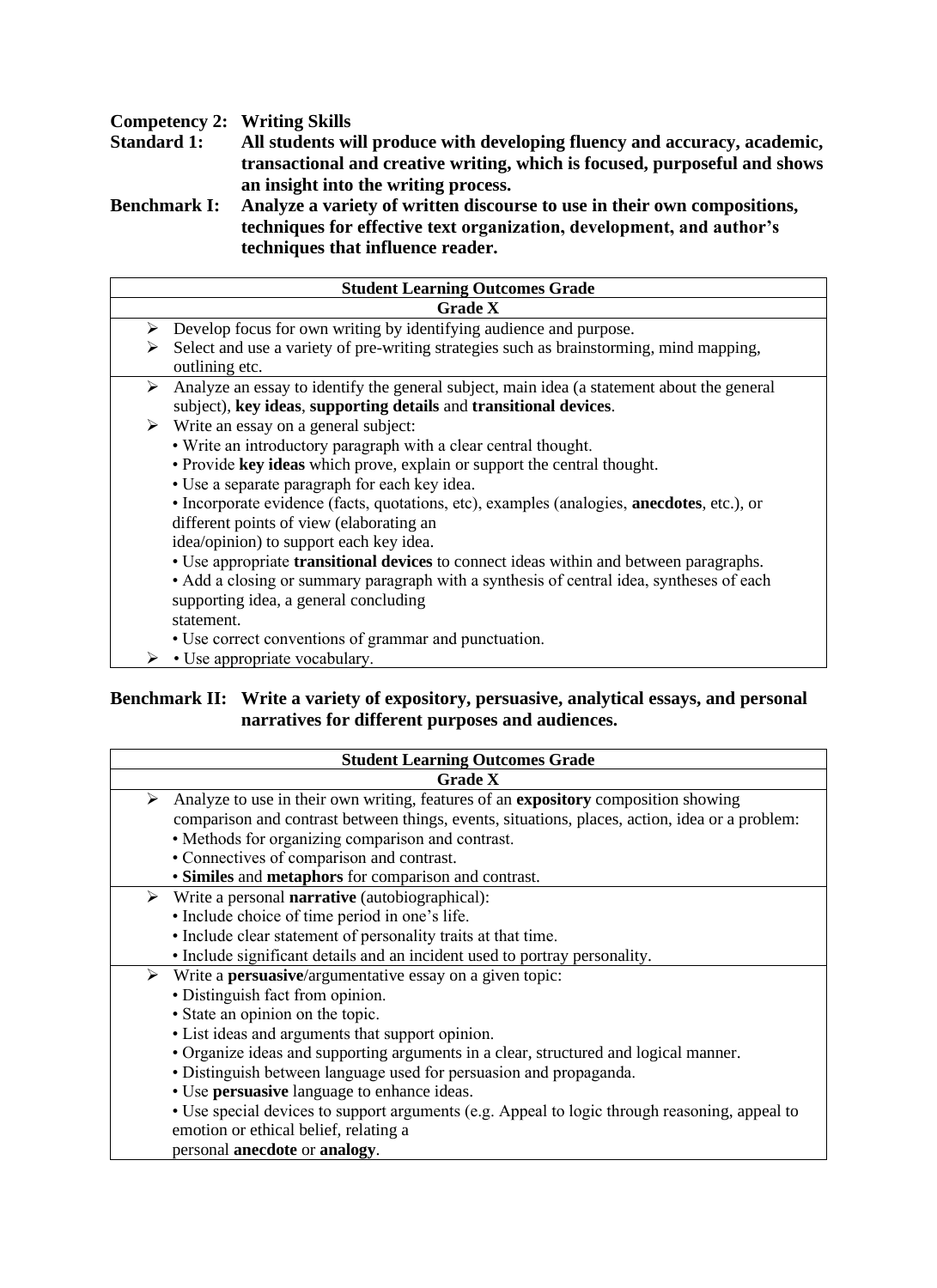# **Competency 2: Writing Skills<br>
<b>Standard 1:** All students wi

**Standard 1: All students will produce with developing fluency and accuracy, academic, transactional and creative writing, which is focused, purposeful and shows an insight into the writing process.**

**Benchmark I: Analyze a variety of written discourse to use in their own compositions, techniques for effective text organization, development, and author's techniques that influence reader.**

|   | <b>Student Learning Outcomes Grade</b>                                                                                                                          |
|---|-----------------------------------------------------------------------------------------------------------------------------------------------------------------|
|   | <b>Grade X</b>                                                                                                                                                  |
| ➤ | Develop focus for own writing by identifying audience and purpose.                                                                                              |
| ⋗ | Select and use a variety of pre-writing strategies such as brainstorming, mind mapping,<br>outlining etc.                                                       |
| ➤ | Analyze an essay to identify the general subject, main idea (a statement about the general<br>subject), key ideas, supporting details and transitional devices. |
|   | $\triangleright$ Write an essay on a general subject:                                                                                                           |
|   | • Write an introductory paragraph with a clear central thought.                                                                                                 |
|   | · Provide key ideas which prove, explain or support the central thought.                                                                                        |
|   | • Use a separate paragraph for each key idea.                                                                                                                   |
|   | • Incorporate evidence (facts, quotations, etc), examples (analogies, <b>anecdotes</b> , etc.), or                                                              |
|   | different points of view (elaborating an                                                                                                                        |
|   | idea/opinion) to support each key idea.                                                                                                                         |
|   | • Use appropriate transitional devices to connect ideas within and between paragraphs.                                                                          |
|   | • Add a closing or summary paragraph with a synthesis of central idea, syntheses of each                                                                        |
|   | supporting idea, a general concluding                                                                                                                           |
|   | statement.                                                                                                                                                      |
|   | • Use correct conventions of grammar and punctuation.                                                                                                           |
|   | • Use appropriate vocabulary.                                                                                                                                   |

#### **Benchmark II: Write a variety of expository, persuasive, analytical essays, and personal narratives for different purposes and audiences.**

| <b>Student Learning Outcomes Grade</b>                                                         |
|------------------------------------------------------------------------------------------------|
| <b>Grade X</b>                                                                                 |
| Analyze to use in their own writing, features of an expository composition showing<br>➤        |
| comparison and contrast between things, events, situations, places, action, idea or a problem: |
| • Methods for organizing comparison and contrast.                                              |
| • Connectives of comparison and contrast.                                                      |
| · Similes and metaphors for comparison and contrast.                                           |
| $\triangleright$ Write a personal <b>narrative</b> (autobiographical):                         |
| • Include choice of time period in one's life.                                                 |
| • Include clear statement of personality traits at that time.                                  |
| • Include significant details and an incident used to portray personality.                     |
| $\triangleright$ Write a <b>persuasive</b> /argumentative essay on a given topic:              |
| · Distinguish fact from opinion.                                                               |
| • State an opinion on the topic.                                                               |
| • List ideas and arguments that support opinion.                                               |
| • Organize ideas and supporting arguments in a clear, structured and logical manner.           |
| • Distinguish between language used for persuasion and propaganda.                             |
| • Use persuasive language to enhance ideas.                                                    |
| • Use special devices to support arguments (e.g. Appeal to logic through reasoning, appeal to  |
| emotion or ethical belief, relating a                                                          |
| personal anecdote or analogy.                                                                  |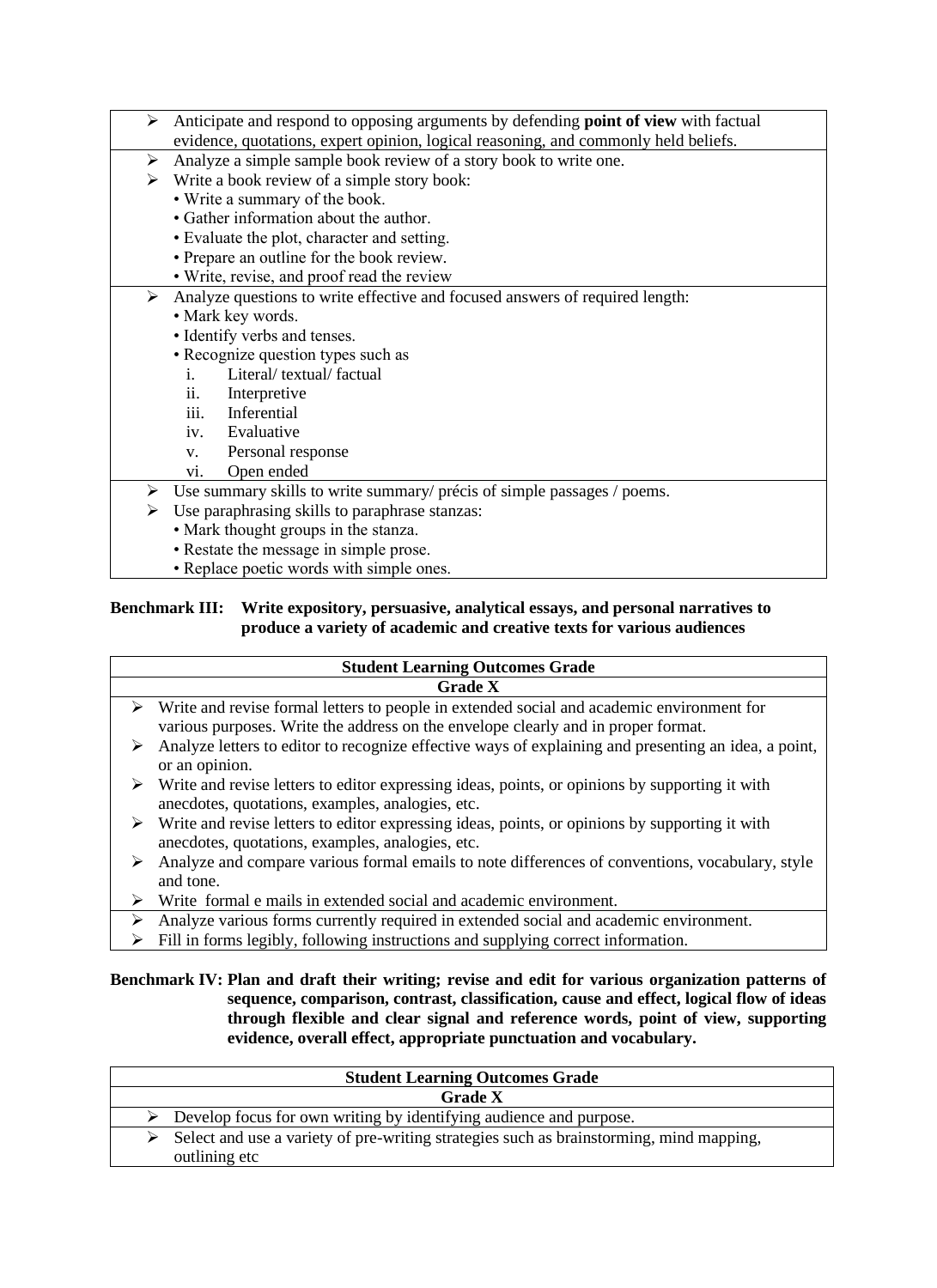- ➢ Anticipate and respond to opposing arguments by defending **point of view** with factual evidence, quotations, expert opinion, logical reasoning, and commonly held beliefs. Analyze a simple sample book review of a story book to write one.  $\triangleright$  Write a book review of a simple story book: • Write a summary of the book. • Gather information about the author. • Evaluate the plot, character and setting. • Prepare an outline for the book review. • Write, revise, and proof read the review ➢ Analyze questions to write effective and focused answers of required length: • Mark key words. • Identify verbs and tenses. • Recognize question types such as i. Literal/ textual/ factual ii. Interpretive iii. Inferential iv. Evaluative v. Personal response vi. Open ended ➢ Use summary skills to write summary/ précis of simple passages / poems.  $\triangleright$  Use paraphrasing skills to paraphrase stanzas: • Mark thought groups in the stanza. • Restate the message in simple prose.
	- Replace poetic words with simple ones.

#### **Benchmark III: Write expository, persuasive, analytical essays, and personal narratives to produce a variety of academic and creative texts for various audiences**

|   | <b>Student Learning Outcomes Grade</b>                                                                          |
|---|-----------------------------------------------------------------------------------------------------------------|
|   | <b>Grade X</b>                                                                                                  |
|   | $\triangleright$ Write and revise formal letters to people in extended social and academic environment for      |
|   | various purposes. Write the address on the envelope clearly and in proper format.                               |
|   | Analyze letters to editor to recognize effective ways of explaining and presenting an idea, a point,            |
|   | or an opinion.                                                                                                  |
| ➤ | Write and revise letters to editor expressing ideas, points, or opinions by supporting it with                  |
|   | anecdotes, quotations, examples, analogies, etc.                                                                |
|   | $\triangleright$ Write and revise letters to editor expressing ideas, points, or opinions by supporting it with |
|   | anecdotes, quotations, examples, analogies, etc.                                                                |
|   | Analyze and compare various formal emails to note differences of conventions, vocabulary, style                 |
|   | and tone.                                                                                                       |
|   | Write formal e mails in extended social and academic environment.                                               |
|   | Analyze various forms currently required in extended social and academic environment.                           |
|   | Fill in forms legibly, following instructions and supplying correct information.                                |

#### **Benchmark IV: Plan and draft their writing; revise and edit for various organization patterns of sequence, comparison, contrast, classification, cause and effect, logical flow of ideas through flexible and clear signal and reference words, point of view, supporting evidence, overall effect, appropriate punctuation and vocabulary.**

| <b>Student Learning Outcomes Grade</b>                                                                   |  |
|----------------------------------------------------------------------------------------------------------|--|
| <b>Grade X</b>                                                                                           |  |
| $\triangleright$ Develop focus for own writing by identifying audience and purpose.                      |  |
| Select and use a variety of pre-writing strategies such as brainstorming, mind mapping,<br>outlining etc |  |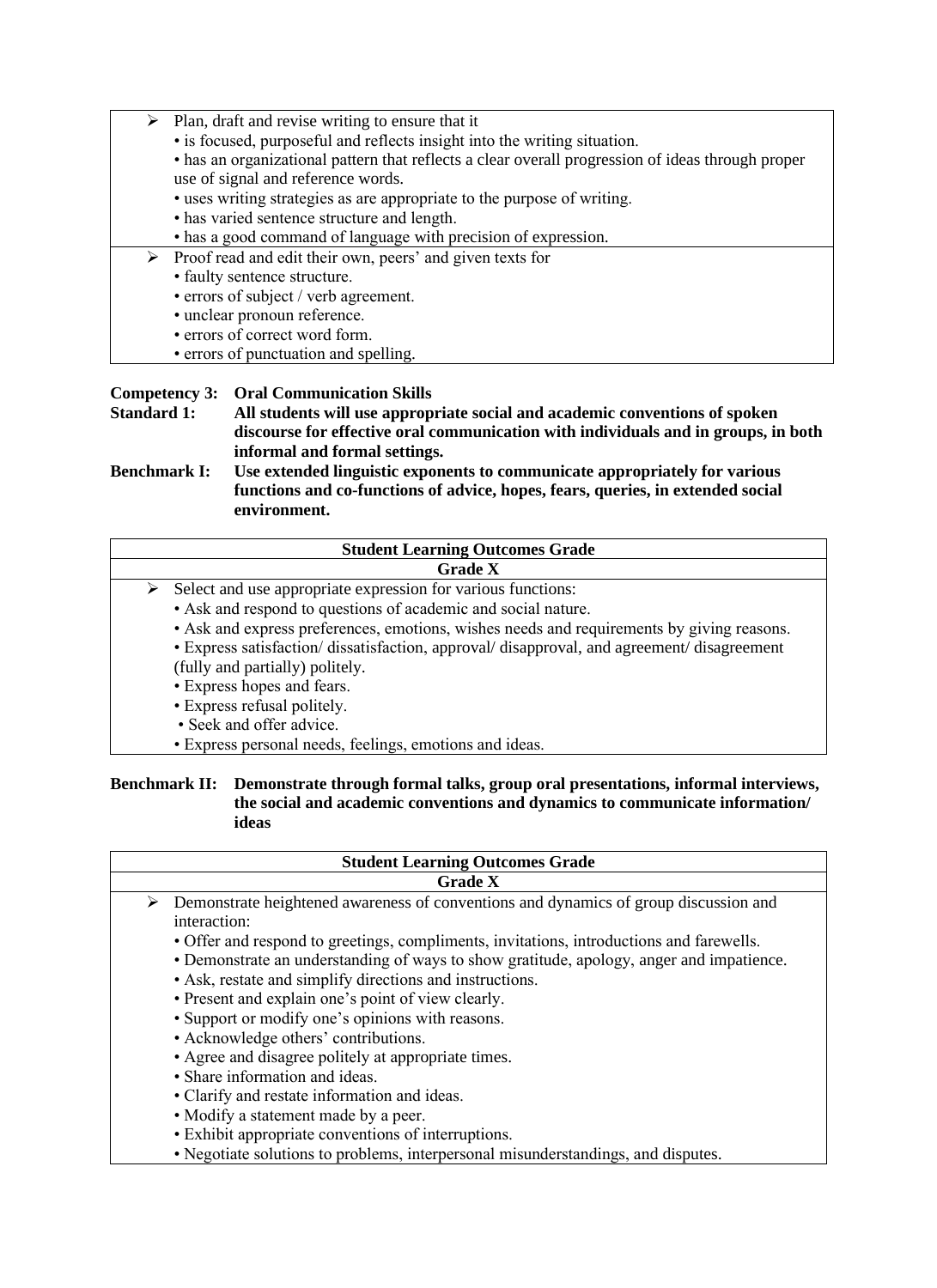- ➢ Plan, draft and revise writing to ensure that it
	- is focused, purposeful and reflects insight into the writing situation.
	- has an organizational pattern that reflects a clear overall progression of ideas through proper use of signal and reference words.
	- uses writing strategies as are appropriate to the purpose of writing.
	- has varied sentence structure and length.
	- has a good command of language with precision of expression.
- ➢ Proof read and edit their own, peers' and given texts for
	- faulty sentence structure.
	- errors of subject / verb agreement.
	- unclear pronoun reference.
	- errors of correct word form.
	- errors of punctuation and spelling.

#### **Competency 3: Oral Communication Skills**

**Standard 1: All students will use appropriate social and academic conventions of spoken discourse for effective oral communication with individuals and in groups, in both informal and formal settings.** 

**Benchmark I: Use extended linguistic exponents to communicate appropriately for various functions and co-functions of advice, hopes, fears, queries, in extended social environment.**

|   | <b>Student Learning Outcomes Grade</b>                                                    |
|---|-------------------------------------------------------------------------------------------|
|   | <b>Grade X</b>                                                                            |
| ➤ | Select and use appropriate expression for various functions:                              |
|   | • Ask and respond to questions of academic and social nature.                             |
|   | • Ask and express preferences, emotions, wishes needs and requirements by giving reasons. |
|   | • Express satisfaction/dissatisfaction, approval/disapproval, and agreement/disagreement  |
|   | (fully and partially) politely.                                                           |
|   | • Express hopes and fears.                                                                |
|   | • Express refusal politely.                                                               |
|   | • Seek and offer advice.                                                                  |
|   | • Express personal needs, feelings, emotions and ideas.                                   |

#### **Benchmark II: Demonstrate through formal talks, group oral presentations, informal interviews, the social and academic conventions and dynamics to communicate information/ ideas**

| <b>Student Learning Outcomes Grade</b>                                                    |  |  |  |  |  |  |
|-------------------------------------------------------------------------------------------|--|--|--|--|--|--|
| <b>Grade X</b>                                                                            |  |  |  |  |  |  |
| Demonstrate heightened awareness of conventions and dynamics of group discussion and<br>➤ |  |  |  |  |  |  |
| interaction:                                                                              |  |  |  |  |  |  |
| • Offer and respond to greetings, compliments, invitations, introductions and farewells.  |  |  |  |  |  |  |
| • Demonstrate an understanding of ways to show gratitude, apology, anger and impatience.  |  |  |  |  |  |  |
| • Ask, restate and simplify directions and instructions.                                  |  |  |  |  |  |  |
| • Present and explain one's point of view clearly.                                        |  |  |  |  |  |  |
| • Support or modify one's opinions with reasons.                                          |  |  |  |  |  |  |
| • Acknowledge others' contributions.                                                      |  |  |  |  |  |  |
| • Agree and disagree politely at appropriate times.                                       |  |  |  |  |  |  |
| • Share information and ideas.                                                            |  |  |  |  |  |  |
| • Clarify and restate information and ideas.                                              |  |  |  |  |  |  |
| • Modify a statement made by a peer.                                                      |  |  |  |  |  |  |
| • Exhibit appropriate conventions of interruptions.                                       |  |  |  |  |  |  |
| • Negotiate solutions to problems, interpersonal misunderstandings, and disputes.         |  |  |  |  |  |  |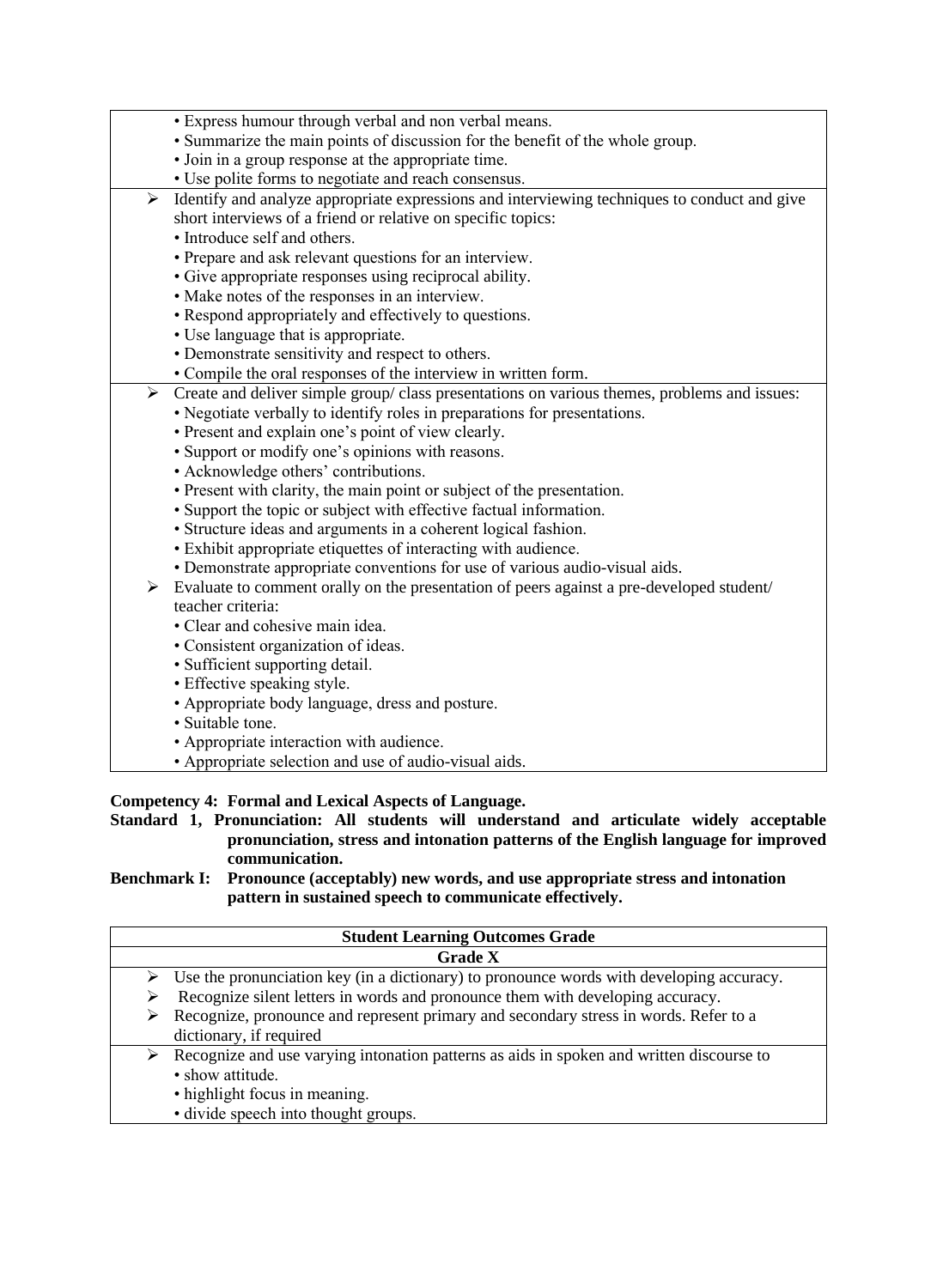|                       | • Express humour through verbal and non verbal means.                                        |
|-----------------------|----------------------------------------------------------------------------------------------|
|                       | • Summarize the main points of discussion for the benefit of the whole group.                |
|                       | • Join in a group response at the appropriate time.                                          |
|                       | • Use polite forms to negotiate and reach consensus.                                         |
| $\blacktriangleright$ | Identify and analyze appropriate expressions and interviewing techniques to conduct and give |
|                       | short interviews of a friend or relative on specific topics:                                 |
|                       | • Introduce self and others.                                                                 |
|                       | • Prepare and ask relevant questions for an interview.                                       |
|                       | • Give appropriate responses using reciprocal ability.                                       |
|                       | • Make notes of the responses in an interview.                                               |
|                       | • Respond appropriately and effectively to questions.                                        |
|                       | • Use language that is appropriate.                                                          |
|                       | • Demonstrate sensitivity and respect to others.                                             |
|                       | • Compile the oral responses of the interview in written form.                               |
| $\blacktriangleright$ | Create and deliver simple group/ class presentations on various themes, problems and issues: |
|                       | • Negotiate verbally to identify roles in preparations for presentations.                    |
|                       | • Present and explain one's point of view clearly.                                           |
|                       | • Support or modify one's opinions with reasons.                                             |
|                       | • Acknowledge others' contributions.                                                         |
|                       | • Present with clarity, the main point or subject of the presentation.                       |
|                       | • Support the topic or subject with effective factual information.                           |
|                       | • Structure ideas and arguments in a coherent logical fashion.                               |
|                       | • Exhibit appropriate etiquettes of interacting with audience.                               |
|                       | • Demonstrate appropriate conventions for use of various audio-visual aids.                  |
| $\blacktriangleright$ | Evaluate to comment orally on the presentation of peers against a pre-developed student/     |
|                       | teacher criteria:                                                                            |
|                       | • Clear and cohesive main idea.                                                              |
|                       | • Consistent organization of ideas.                                                          |
|                       | · Sufficient supporting detail.                                                              |
|                       | • Effective speaking style.                                                                  |
|                       | • Appropriate body language, dress and posture.                                              |
|                       | · Suitable tone.                                                                             |
|                       | • Appropriate interaction with audience.                                                     |
|                       |                                                                                              |
|                       | • Appropriate selection and use of audio-visual aids.                                        |

#### **Competency 4: Formal and Lexical Aspects of Language.**

**Standard 1, Pronunciation: All students will understand and articulate widely acceptable pronunciation, stress and intonation patterns of the English language for improved communication.** 

**Benchmark I: Pronounce (acceptably) new words, and use appropriate stress and intonation pattern in sustained speech to communicate effectively.**

|   | <b>Student Learning Outcomes Grade</b>                                                                                                                                                |  |  |  |  |  |  |  |
|---|---------------------------------------------------------------------------------------------------------------------------------------------------------------------------------------|--|--|--|--|--|--|--|
|   | <b>Grade X</b>                                                                                                                                                                        |  |  |  |  |  |  |  |
|   | $\triangleright$ Use the pronunciation key (in a dictionary) to pronounce words with developing accuracy.                                                                             |  |  |  |  |  |  |  |
|   | Recognize silent letters in words and pronounce them with developing accuracy.                                                                                                        |  |  |  |  |  |  |  |
| ➤ | Recognize, pronounce and represent primary and secondary stress in words. Refer to a<br>dictionary, if required                                                                       |  |  |  |  |  |  |  |
| ➤ | Recognize and use varying intonation patterns as aids in spoken and written discourse to<br>• show attitude.<br>• highlight focus in meaning.<br>• divide speech into thought groups. |  |  |  |  |  |  |  |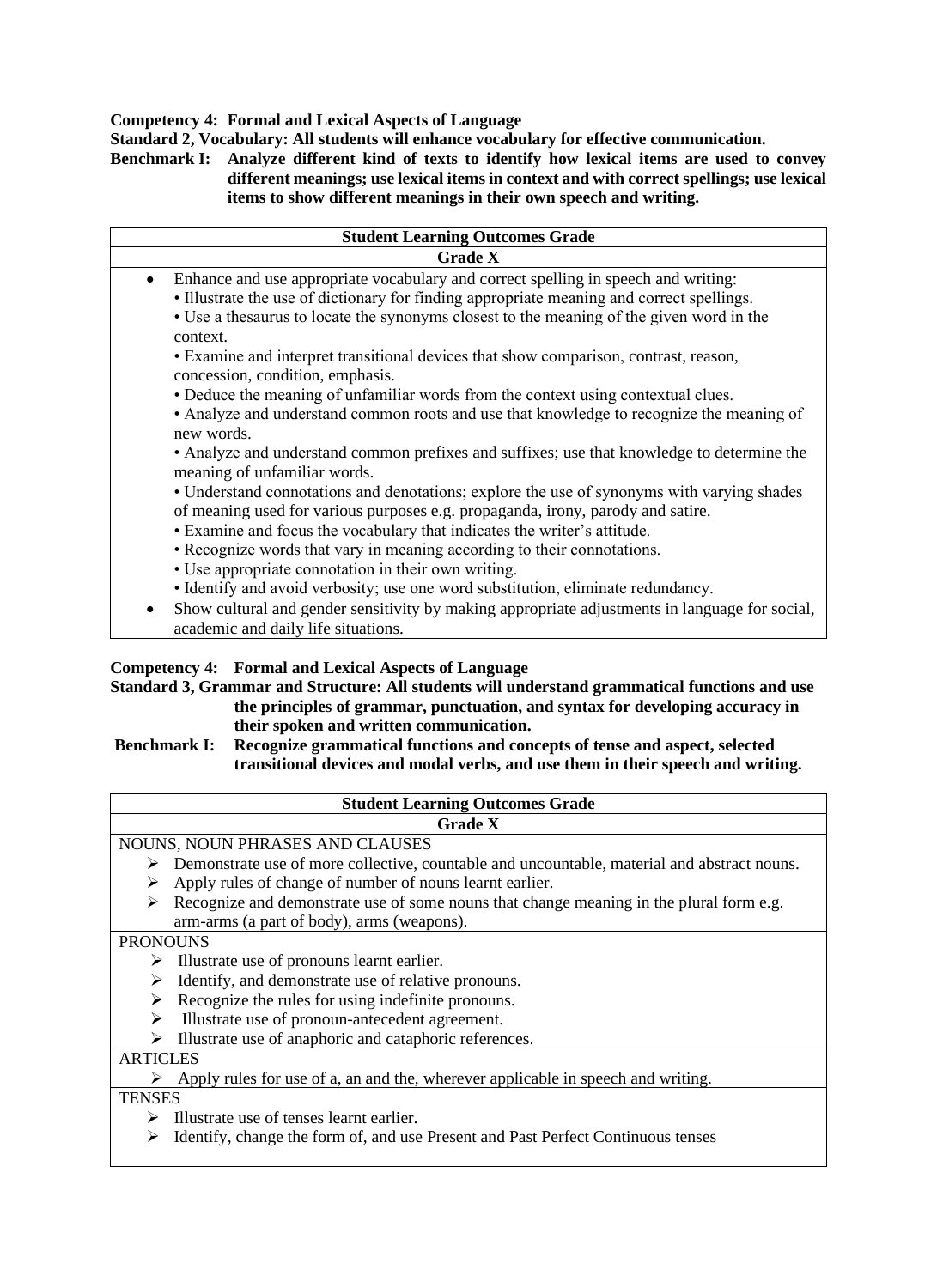#### **Competency 4: Formal and Lexical Aspects of Language**

**Standard 2, Vocabulary: All students will enhance vocabulary for effective communication.** 

**Benchmark I: Analyze different kind of texts to identify how lexical items are used to convey different meanings; use lexical items in context and with correct spellings; use lexical items to show different meanings in their own speech and writing.**

| <b>Student Learning Outcomes Grade</b>                                                                                                                                        |  |  |  |  |  |  |
|-------------------------------------------------------------------------------------------------------------------------------------------------------------------------------|--|--|--|--|--|--|
| <b>Grade X</b>                                                                                                                                                                |  |  |  |  |  |  |
| Enhance and use appropriate vocabulary and correct spelling in speech and writing:<br>$\bullet$                                                                               |  |  |  |  |  |  |
| • Illustrate the use of dictionary for finding appropriate meaning and correct spellings.                                                                                     |  |  |  |  |  |  |
| • Use a the saurus to locate the synonyms closest to the meaning of the given word in the<br>context.                                                                         |  |  |  |  |  |  |
| • Examine and interpret transitional devices that show comparison, contrast, reason,<br>concession, condition, emphasis.                                                      |  |  |  |  |  |  |
| • Deduce the meaning of unfamiliar words from the context using contextual clues.                                                                                             |  |  |  |  |  |  |
| • Analyze and understand common roots and use that knowledge to recognize the meaning of<br>new words.                                                                        |  |  |  |  |  |  |
| • Analyze and understand common prefixes and suffixes; use that knowledge to determine the<br>meaning of unfamiliar words.                                                    |  |  |  |  |  |  |
| • Understand connotations and denotations; explore the use of synonyms with varying shades<br>of meaning used for various purposes e.g. propaganda, irony, parody and satire. |  |  |  |  |  |  |
| • Examine and focus the vocabulary that indicates the writer's attitude.                                                                                                      |  |  |  |  |  |  |
| • Recognize words that vary in meaning according to their connotations.                                                                                                       |  |  |  |  |  |  |
| • Use appropriate connotation in their own writing.                                                                                                                           |  |  |  |  |  |  |
| • Identify and avoid verbosity; use one word substitution, eliminate redundancy.                                                                                              |  |  |  |  |  |  |
| Show cultural and gender sensitivity by making appropriate adjustments in language for social,<br>٠<br>academic and daily life situations.                                    |  |  |  |  |  |  |

#### **Competency 4: Formal and Lexical Aspects of Language**

**Standard 3, Grammar and Structure: All students will understand grammatical functions and use the principles of grammar, punctuation, and syntax for developing accuracy in their spoken and written communication.**

#### **Benchmark I: Recognize grammatical functions and concepts of tense and aspect, selected transitional devices and modal verbs, and use them in their speech and writing.**

| <b>Student Learning Outcomes Grade</b>                                                      |  |  |  |  |  |
|---------------------------------------------------------------------------------------------|--|--|--|--|--|
| <b>Grade X</b>                                                                              |  |  |  |  |  |
| NOUNS, NOUN PHRASES AND CLAUSES                                                             |  |  |  |  |  |
| Demonstrate use of more collective, countable and uncountable, material and abstract nouns. |  |  |  |  |  |
| Apply rules of change of number of nouns learnt earlier.<br>➤                               |  |  |  |  |  |
| Recognize and demonstrate use of some nouns that change meaning in the plural form e.g.     |  |  |  |  |  |
| arm-arms (a part of body), arms (weapons).                                                  |  |  |  |  |  |
| <b>PRONOUNS</b>                                                                             |  |  |  |  |  |
| Illustrate use of pronouns learnt earlier.<br>➤                                             |  |  |  |  |  |
| Identify, and demonstrate use of relative pronouns.<br>➤                                    |  |  |  |  |  |
| Recognize the rules for using indefinite pronouns.                                          |  |  |  |  |  |
| Illustrate use of pronoun-antecedent agreement.                                             |  |  |  |  |  |
| Illustrate use of anaphoric and cataphoric references.                                      |  |  |  |  |  |
| <b>ARTICLES</b>                                                                             |  |  |  |  |  |
| Apply rules for use of a, an and the, wherever applicable in speech and writing.            |  |  |  |  |  |
| <b>TENSES</b>                                                                               |  |  |  |  |  |
| Illustrate use of tenses learnt earlier.                                                    |  |  |  |  |  |

➢ Identify, change the form of, and use Present and Past Perfect Continuous tenses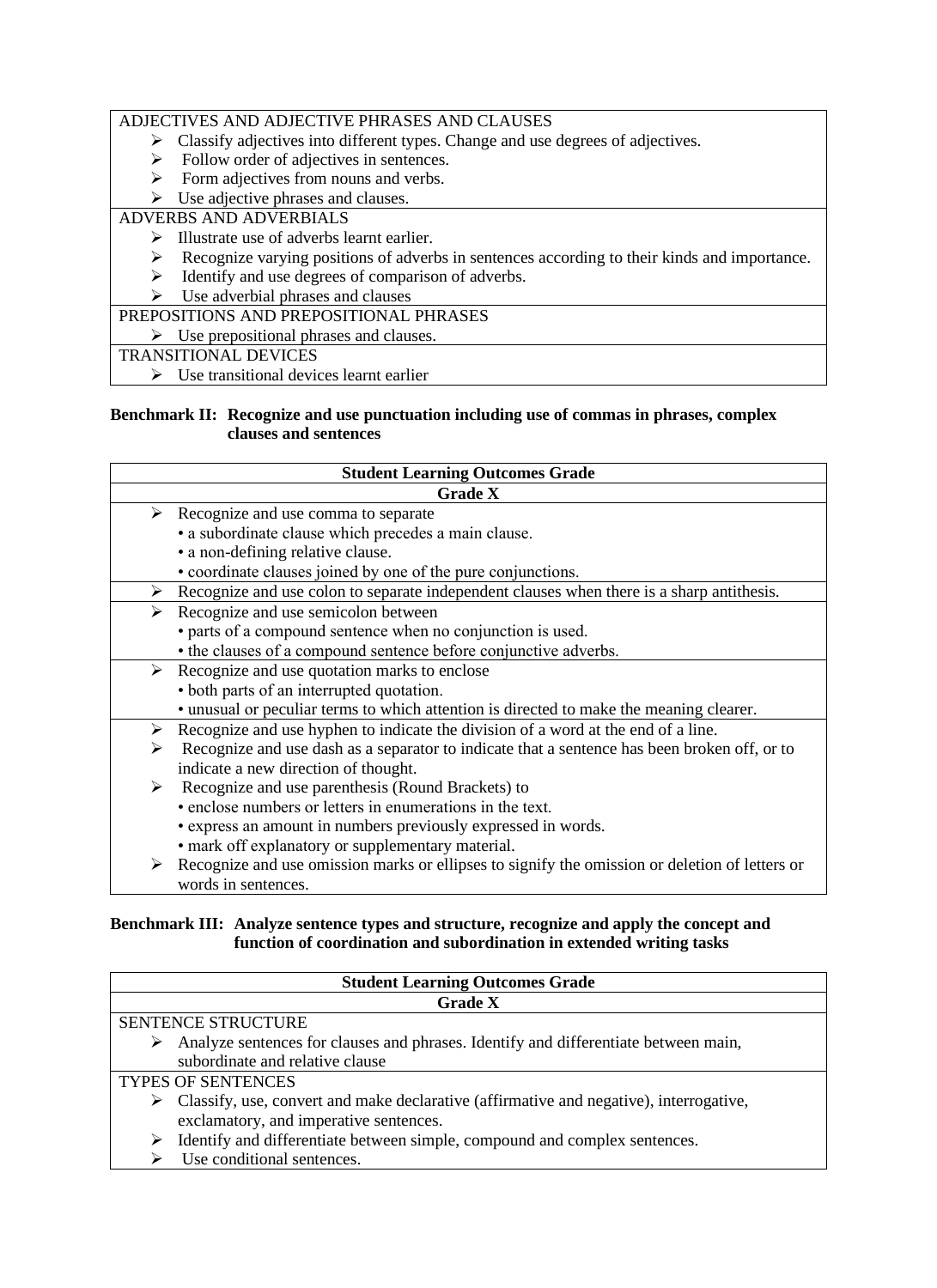#### ADJECTIVES AND ADJECTIVE PHRASES AND CLAUSES

- ➢ Classify adjectives into different types. Change and use degrees of adjectives.
- $\triangleright$  Follow order of adjectives in sentences.
- $\triangleright$  Form adjectives from nouns and verbs.
- $\triangleright$  Use adjective phrases and clauses.

## ADVERBS AND ADVERBIALS

- ➢ Illustrate use of adverbs learnt earlier.
- ➢ Recognize varying positions of adverbs in sentences according to their kinds and importance.
- ➢ Identify and use degrees of comparison of adverbs.
- $\triangleright$  Use adverbial phrases and clauses

PREPOSITIONS AND PREPOSITIONAL PHRASES

 $\triangleright$  Use prepositional phrases and clauses.

#### TRANSITIONAL DEVICES

➢ Use transitional devices learnt earlier

#### **Benchmark II: Recognize and use punctuation including use of commas in phrases, complex clauses and sentences**

| <b>Student Learning Outcomes Grade</b>                                                            |  |  |  |  |  |  |
|---------------------------------------------------------------------------------------------------|--|--|--|--|--|--|
| <b>Grade X</b>                                                                                    |  |  |  |  |  |  |
| $\triangleright$ Recognize and use comma to separate                                              |  |  |  |  |  |  |
| · a subordinate clause which precedes a main clause.                                              |  |  |  |  |  |  |
| • a non-defining relative clause.                                                                 |  |  |  |  |  |  |
| • coordinate clauses joined by one of the pure conjunctions.                                      |  |  |  |  |  |  |
| Recognize and use colon to separate independent clauses when there is a sharp antithesis.<br>➤    |  |  |  |  |  |  |
| Recognize and use semicolon between<br>➤                                                          |  |  |  |  |  |  |
| • parts of a compound sentence when no conjunction is used.                                       |  |  |  |  |  |  |
| • the clauses of a compound sentence before conjunctive adverbs.                                  |  |  |  |  |  |  |
| Recognize and use quotation marks to enclose<br>➤                                                 |  |  |  |  |  |  |
| • both parts of an interrupted quotation.                                                         |  |  |  |  |  |  |
| • unusual or peculiar terms to which attention is directed to make the meaning clearer.           |  |  |  |  |  |  |
| Recognize and use hyphen to indicate the division of a word at the end of a line.<br>➤            |  |  |  |  |  |  |
| Recognize and use dash as a separator to indicate that a sentence has been broken off, or to<br>⋗ |  |  |  |  |  |  |
| indicate a new direction of thought.                                                              |  |  |  |  |  |  |
| Recognize and use parenthesis (Round Brackets) to<br>➤                                            |  |  |  |  |  |  |
| • enclose numbers or letters in enumerations in the text.                                         |  |  |  |  |  |  |
| • express an amount in numbers previously expressed in words.                                     |  |  |  |  |  |  |
| • mark off explanatory or supplementary material.                                                 |  |  |  |  |  |  |
|                                                                                                   |  |  |  |  |  |  |

➢ Recognize and use omission marks or ellipses to signify the omission or deletion of letters or words in sentences.

#### **Benchmark III: Analyze sentence types and structure, recognize and apply the concept and function of coordination and subordination in extended writing tasks**

| <b>Student Learning Outcomes Grade</b>                                                                  |  |  |  |  |  |  |
|---------------------------------------------------------------------------------------------------------|--|--|--|--|--|--|
| <b>Grade X</b>                                                                                          |  |  |  |  |  |  |
| <b>SENTENCE STRUCTURE</b>                                                                               |  |  |  |  |  |  |
| Analyze sentences for clauses and phrases. Identify and differentiate between main,<br>➤                |  |  |  |  |  |  |
| subordinate and relative clause                                                                         |  |  |  |  |  |  |
| <b>TYPES OF SENTENCES</b>                                                                               |  |  |  |  |  |  |
| $\triangleright$ Classify, use, convert and make declarative (affirmative and negative), interrogative, |  |  |  |  |  |  |
| exclamatory, and imperative sentences.                                                                  |  |  |  |  |  |  |
| Identify and differentiate between simple, compound and complex sentences.<br>➤                         |  |  |  |  |  |  |
| Use conditional sentences.                                                                              |  |  |  |  |  |  |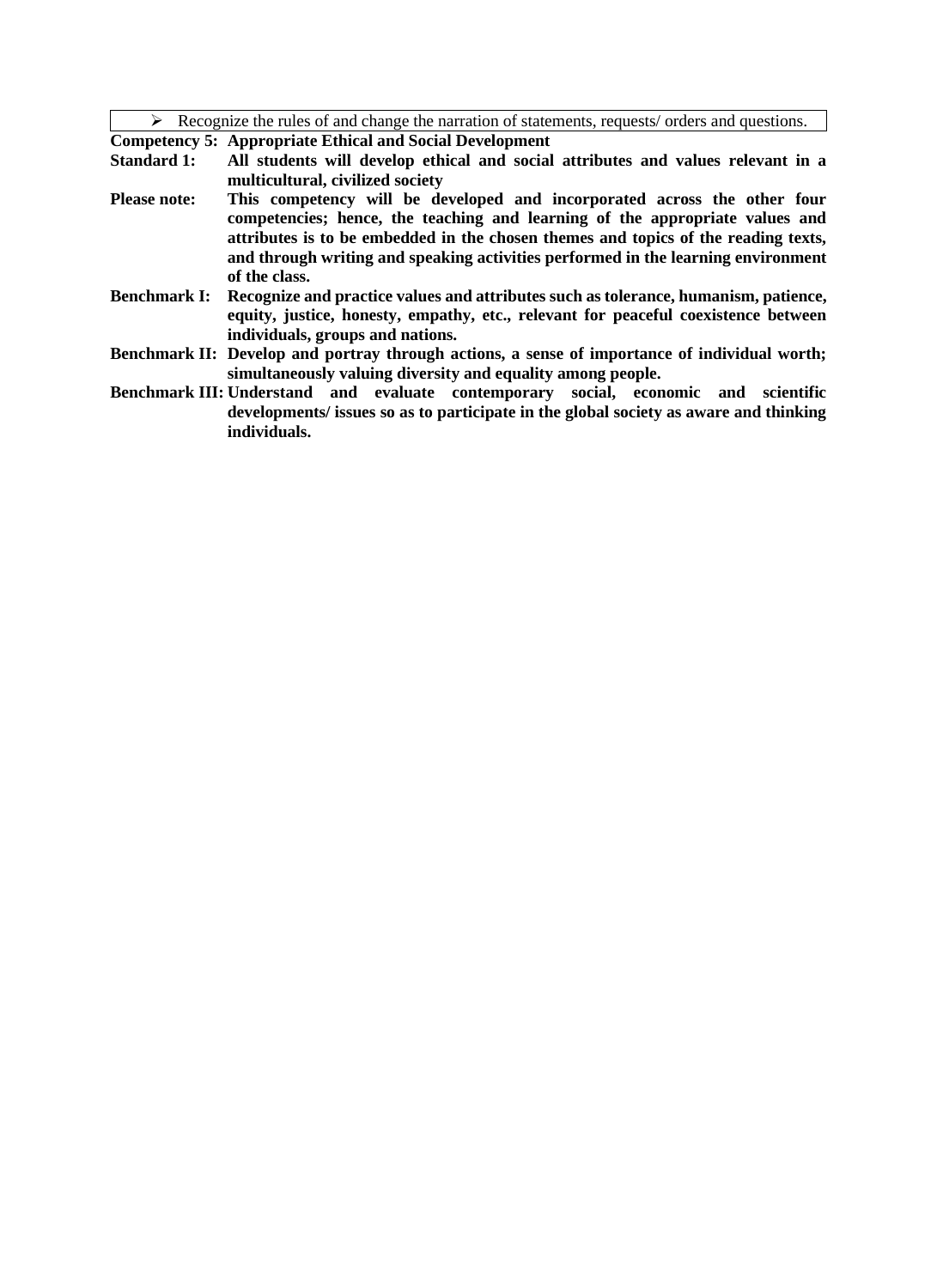$\triangleright$  Recognize the rules of and change the narration of statements, requests/ orders and questions.

**Competency 5: Appropriate Ethical and Social Development** 

- **Standard 1: All students will develop ethical and social attributes and values relevant in a multicultural, civilized society**
- **Please note: This competency will be developed and incorporated across the other four competencies; hence, the teaching and learning of the appropriate values and attributes is to be embedded in the chosen themes and topics of the reading texts, and through writing and speaking activities performed in the learning environment of the class.**
- **Benchmark I: Recognize and practice values and attributes such as tolerance, humanism, patience, equity, justice, honesty, empathy, etc., relevant for peaceful coexistence between individuals, groups and nations.**
- **Benchmark II: Develop and portray through actions, a sense of importance of individual worth; simultaneously valuing diversity and equality among people.**
- **Benchmark III: Understand and evaluate contemporary social, economic and scientific developments/ issues so as to participate in the global society as aware and thinking individuals.**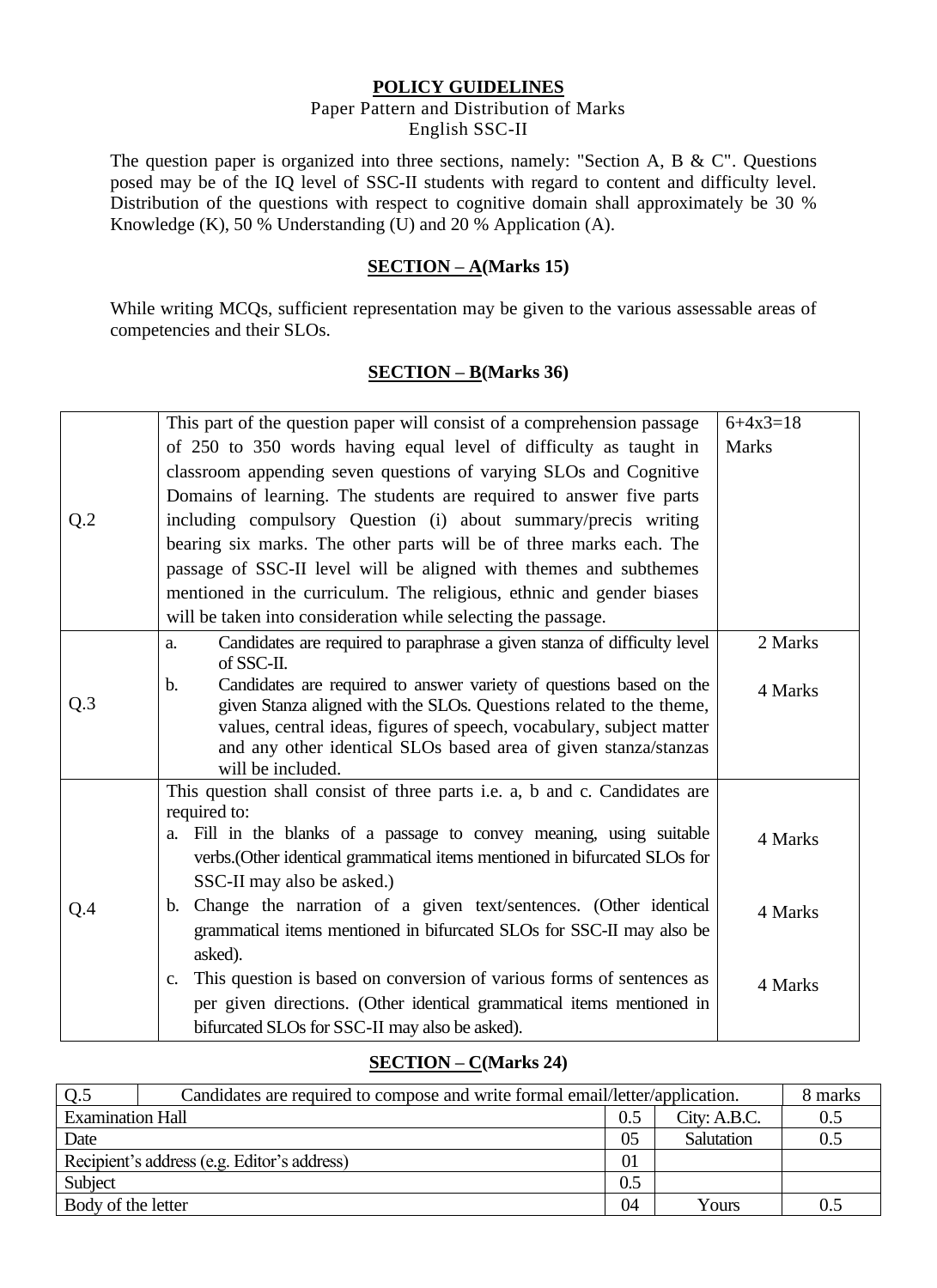#### **POLICY GUIDELINES**

#### Paper Pattern and Distribution of Marks English SSC-II

The question paper is organized into three sections, namely: "Section A, B & C". Questions posed may be of the IQ level of SSC-II students with regard to content and difficulty level. Distribution of the questions with respect to cognitive domain shall approximately be 30 % Knowledge (K), 50 % Understanding (U) and 20 % Application (A).

#### **SECTION – A(Marks 15)**

While writing MCQs, sufficient representation may be given to the various assessable areas of competencies and their SLOs.

#### **SECTION – B(Marks 36)**

|     | This part of the question paper will consist of a comprehension passage                                                                                     | $6+4x3=18$   |
|-----|-------------------------------------------------------------------------------------------------------------------------------------------------------------|--------------|
|     | of 250 to 350 words having equal level of difficulty as taught in                                                                                           | <b>Marks</b> |
|     | classroom appending seven questions of varying SLOs and Cognitive                                                                                           |              |
| Q.2 | Domains of learning. The students are required to answer five parts                                                                                         |              |
|     | including compulsory Question (i) about summary/precis writing                                                                                              |              |
|     | bearing six marks. The other parts will be of three marks each. The                                                                                         |              |
|     | passage of SSC-II level will be aligned with themes and subthemes                                                                                           |              |
|     | mentioned in the curriculum. The religious, ethnic and gender biases                                                                                        |              |
|     | will be taken into consideration while selecting the passage.                                                                                               |              |
|     | Candidates are required to paraphrase a given stanza of difficulty level<br>a.                                                                              | 2 Marks      |
|     | of SSC-II.                                                                                                                                                  |              |
| Q.3 | Candidates are required to answer variety of questions based on the<br>$\mathbf b$ .<br>given Stanza aligned with the SLOs. Questions related to the theme, | 4 Marks      |
|     | values, central ideas, figures of speech, vocabulary, subject matter                                                                                        |              |
|     | and any other identical SLOs based area of given stanza/stanzas                                                                                             |              |
|     | will be included.                                                                                                                                           |              |
|     | This question shall consist of three parts i.e. a, b and c. Candidates are                                                                                  |              |
|     | required to:<br>Fill in the blanks of a passage to convey meaning, using suitable                                                                           |              |
|     | a.<br>verbs. (Other identical grammatical items mentioned in bifurcated SLOs for                                                                            | 4 Marks      |
|     | SSC-II may also be asked.)                                                                                                                                  |              |
|     | Change the narration of a given text/sentences. (Other identical<br>b.                                                                                      |              |
| Q.4 | grammatical items mentioned in bifurcated SLOs for SSC-II may also be                                                                                       | 4 Marks      |
|     | asked).                                                                                                                                                     |              |
|     | This question is based on conversion of various forms of sentences as<br>$C_{\bullet}$                                                                      |              |
|     | per given directions. (Other identical grammatical items mentioned in                                                                                       | 4 Marks      |
|     | bifurcated SLOs for SSC-II may also be asked).                                                                                                              |              |
|     |                                                                                                                                                             |              |

#### **SECTION – C(Marks 24)**

| O.5                     | Candidates are required to compose and write formal email/letter/application. |     |              |     |  |  |  |  |
|-------------------------|-------------------------------------------------------------------------------|-----|--------------|-----|--|--|--|--|
| <b>Examination Hall</b> |                                                                               | 0.5 | City: A.B.C. | 0.5 |  |  |  |  |
| Date                    |                                                                               | 05  | Salutation   | 0.5 |  |  |  |  |
|                         | Recipient's address (e.g. Editor's address)                                   | 01  |              |     |  |  |  |  |
| Subject                 |                                                                               | 0.5 |              |     |  |  |  |  |
| Body of the letter      |                                                                               | 04  | Yours        | 0.5 |  |  |  |  |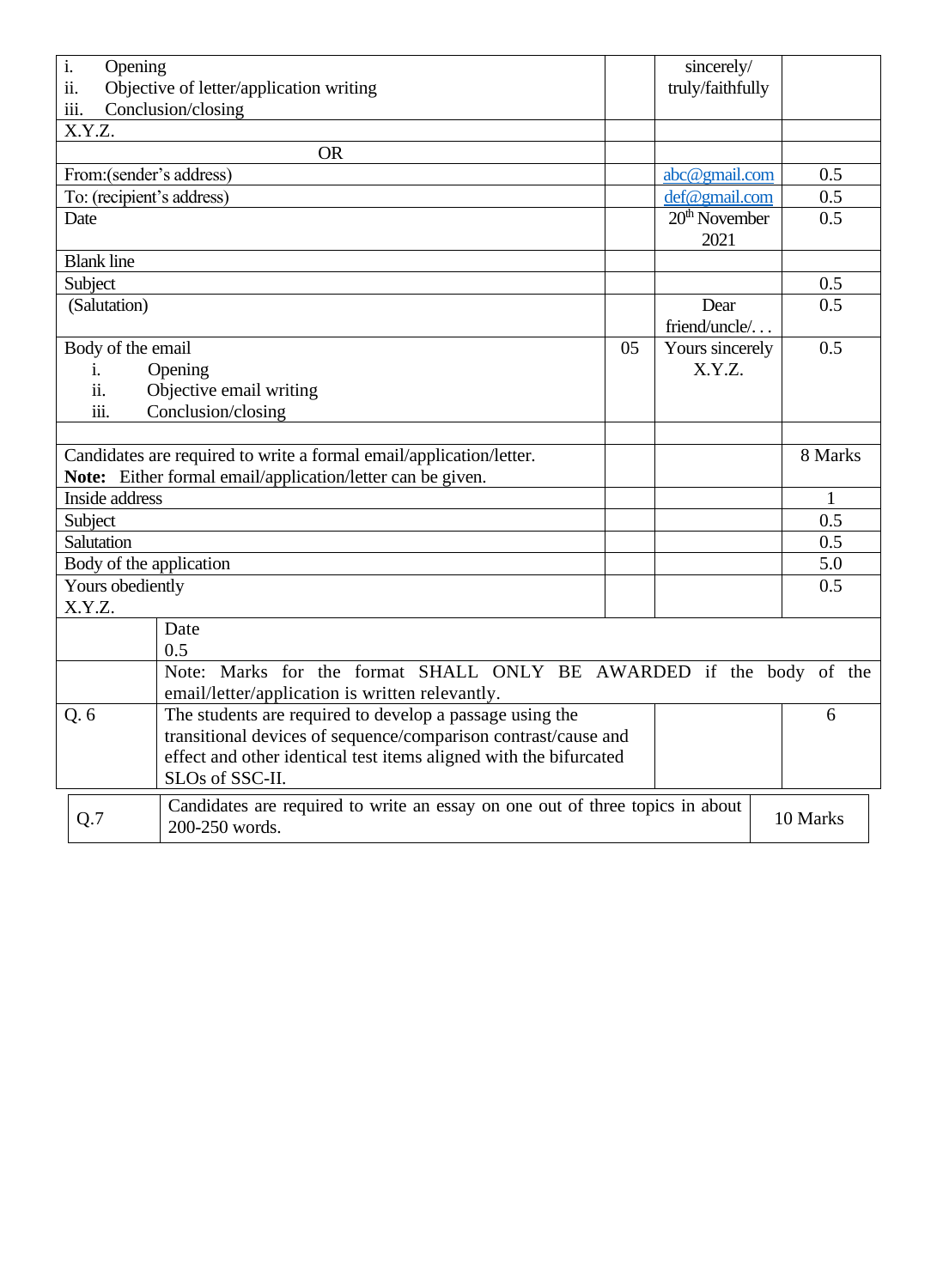| i.                                                             | sincerely/<br>Opening                                                                                                             |          |                         |  |         |  |  |  |
|----------------------------------------------------------------|-----------------------------------------------------------------------------------------------------------------------------------|----------|-------------------------|--|---------|--|--|--|
| ii.                                                            | Objective of letter/application writing<br>truly/faithfully                                                                       |          |                         |  |         |  |  |  |
| iii.                                                           | Conclusion/closing                                                                                                                |          |                         |  |         |  |  |  |
| X.Y.Z.                                                         |                                                                                                                                   |          |                         |  |         |  |  |  |
|                                                                | <b>OR</b>                                                                                                                         |          |                         |  | 0.5     |  |  |  |
|                                                                | From: (sender's address)<br>abc@gmail.com                                                                                         |          |                         |  |         |  |  |  |
|                                                                | To: (recipient's address)<br>def@gmail.com                                                                                        |          |                         |  |         |  |  |  |
| Date                                                           |                                                                                                                                   |          | $20th$ November<br>2021 |  | 0.5     |  |  |  |
| <b>Blank line</b>                                              |                                                                                                                                   |          |                         |  |         |  |  |  |
| Subject                                                        |                                                                                                                                   |          |                         |  | 0.5     |  |  |  |
| (Salutation)                                                   |                                                                                                                                   |          | Dear<br>friend/uncle/   |  | 0.5     |  |  |  |
|                                                                | Body of the email                                                                                                                 | 05       | Yours sincerely         |  | 0.5     |  |  |  |
| i.                                                             | Opening                                                                                                                           |          | X.Y.Z.                  |  |         |  |  |  |
| ii.                                                            | Objective email writing                                                                                                           |          |                         |  |         |  |  |  |
| iii.                                                           | Conclusion/closing                                                                                                                |          |                         |  |         |  |  |  |
|                                                                |                                                                                                                                   |          |                         |  |         |  |  |  |
|                                                                | Candidates are required to write a formal email/application/letter.<br>Note: Either formal email/application/letter can be given. |          |                         |  | 8 Marks |  |  |  |
| Inside address                                                 |                                                                                                                                   |          |                         |  |         |  |  |  |
| Subject                                                        |                                                                                                                                   |          |                         |  | 0.5     |  |  |  |
| Salutation                                                     |                                                                                                                                   |          |                         |  | 0.5     |  |  |  |
|                                                                | Body of the application                                                                                                           |          |                         |  | 5.0     |  |  |  |
|                                                                | Yours obediently                                                                                                                  |          |                         |  | 0.5     |  |  |  |
| X.Y.Z.                                                         |                                                                                                                                   |          |                         |  |         |  |  |  |
|                                                                | Date<br>0.5                                                                                                                       |          |                         |  |         |  |  |  |
|                                                                |                                                                                                                                   |          |                         |  |         |  |  |  |
|                                                                | Note: Marks for the format SHALL ONLY BE AWARDED if the body of the<br>email/letter/application is written relevantly.            |          |                         |  |         |  |  |  |
| Q.6                                                            |                                                                                                                                   | 6        |                         |  |         |  |  |  |
| transitional devices of sequence/comparison contrast/cause and |                                                                                                                                   |          |                         |  |         |  |  |  |
|                                                                | effect and other identical test items aligned with the bifurcated                                                                 |          |                         |  |         |  |  |  |
|                                                                | SLOs of SSC-II.                                                                                                                   |          |                         |  |         |  |  |  |
| Q.7                                                            | Candidates are required to write an essay on one out of three topics in about<br>200-250 words.                                   | 10 Marks |                         |  |         |  |  |  |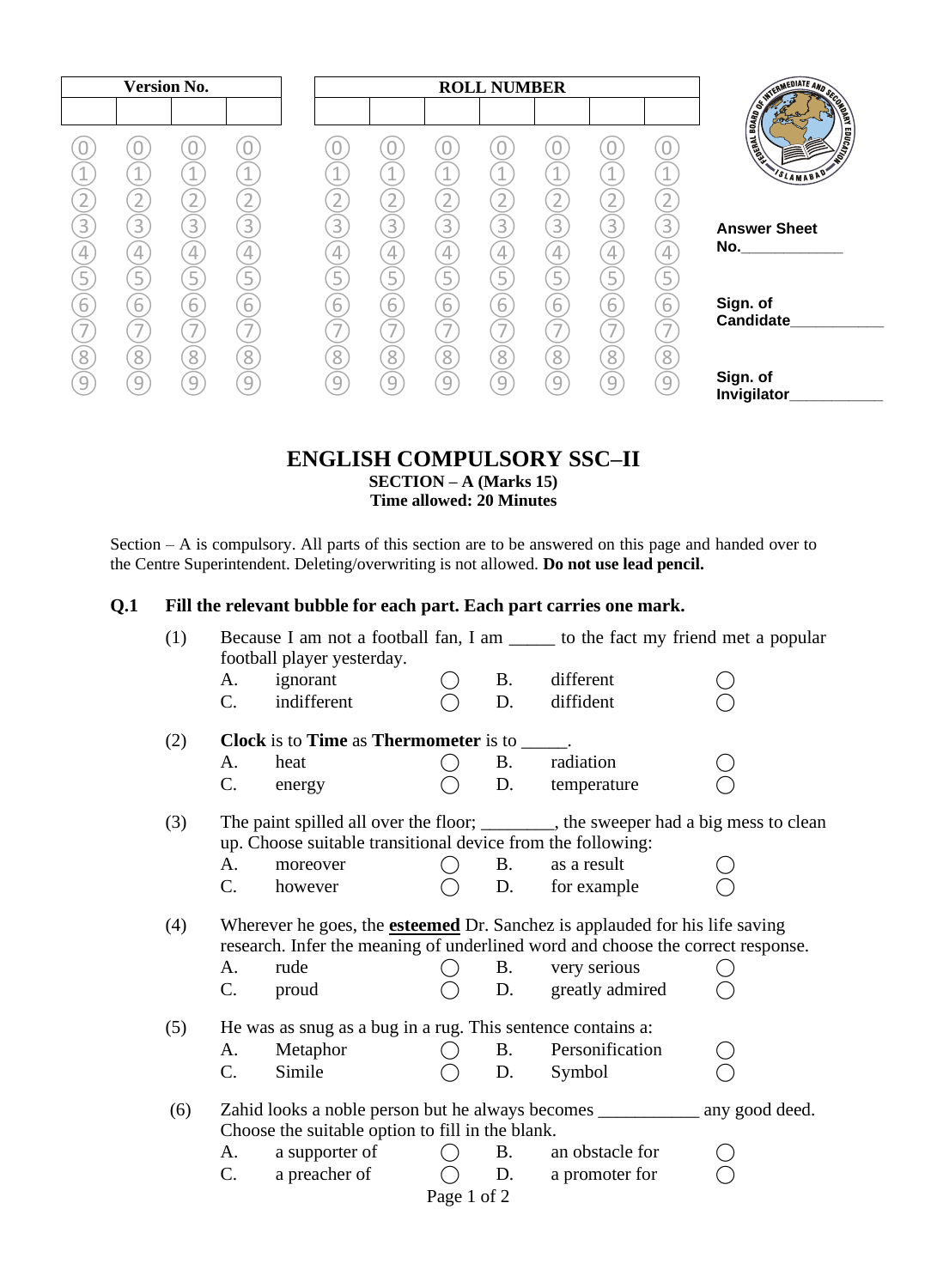| <b>Version No.</b>                                                   |                                                         |                                                         |                                                         |                                            |                                                                      |                                                         | <b>ROLL NUMBER</b>                                                   |                                                         |                                                                      |                                            |                                                                                                                                                                          |
|----------------------------------------------------------------------|---------------------------------------------------------|---------------------------------------------------------|---------------------------------------------------------|--------------------------------------------|----------------------------------------------------------------------|---------------------------------------------------------|----------------------------------------------------------------------|---------------------------------------------------------|----------------------------------------------------------------------|--------------------------------------------|--------------------------------------------------------------------------------------------------------------------------------------------------------------------------|
| A.                                                                   | 4<br>$\overline{2}$                                     | $\mathbf 1$<br>$\overline{2}$                           | U<br>4<br>$\overline{2}$                                | $\overline{a}$<br>$\overline{2}$           | 4<br>$\boxed{2}$                                                     | 4<br>⊥<br>$\overline{2}$                                | $\overline{a}$<br>$\overline{2}$                                     | $\overline{a}$<br>$\overline{2}$                        | 4                                                                    | 1                                          | <b>SERVICE AND SCORE AND SCORE SERVICE SERVICE SERVICE SERVICE SERVICE SERVICE SERVICE SERVICE SERVICE SERVICE S</b><br><b>EDUCATION</b><br><b>ANTENNET</b><br>SLAMABAD' |
| $\overline{3}$<br>$\overline{4}$<br>$\overline{5}$<br>$\overline{6}$ | $\overline{3}$<br>$\overline{4}$<br>5<br>$\overline{6}$ | $\overline{3}$<br>$\overline{4}$<br>5<br>$\overline{6}$ | $\overline{3}$<br>$\overline{4}$<br>5<br>$\overline{6}$ | $\overline{3}$<br>4<br>5<br>$\overline{6}$ | $\overline{3}$<br>$\overline{4}$<br>$\overline{5}$<br>$\overline{6}$ | $\overline{3}$<br>$\overline{4}$<br>5<br>$\overline{6}$ | $\overline{3}$<br>$\overline{4}$<br>$\overline{5}$<br>$\overline{6}$ | $\overline{3}$<br>$\overline{4}$<br>5<br>$\overline{6}$ | $\overline{3}$<br>$\overline{4}$<br>$\overline{5}$<br>$\overline{6}$ | $\overline{3}$<br>4<br>5<br>$\overline{6}$ | <b>Answer Sheet</b><br>No.<br>Sign. of<br><b>Candidate</b>                                                                                                               |
| $\overline{\phantom{0}}$<br>8<br>9                                   | $\overline{\phantom{a}}$<br>8<br>9                      | $\overline{ }$<br>8<br>9                                | $\overline{\phantom{a}}$<br>8<br>9                      | $\overline{\phantom{a}}$<br>8<br>9         | $\overline{ }$<br>8<br>9                                             | $\overline{\phantom{a}}$<br>$\overline{8}$<br>9         | $\overline{\phantom{a}}$<br>8<br>9                                   | $\overline{\phantom{a}}$<br>8<br>9                      | $\overline{\phantom{0}}$<br>8<br>9                                   | $\overline{\phantom{a}}$<br>8<br>9         | Sign. of<br>Invigilator                                                                                                                                                  |

#### **ENGLISH COMPULSORY SSC–II SECTION – A (Marks 15) Time allowed: 20 Minutes**

Section – A is compulsory. All parts of this section are to be answered on this page and handed over to the Centre Superintendent. Deleting/overwriting is not allowed. **Do not use lead pencil.**

### **Q.1 Fill the relevant bubble for each part. Each part carries one mark.**

| (1) | Because I am not a football fan, I am _______ to the fact my friend met a popular<br>football player yesterday. |                                                             |                                             |            |                                                                                                                                                                       |  |
|-----|-----------------------------------------------------------------------------------------------------------------|-------------------------------------------------------------|---------------------------------------------|------------|-----------------------------------------------------------------------------------------------------------------------------------------------------------------------|--|
|     | A.                                                                                                              | ignorant                                                    |                                             | <b>B.</b>  | different                                                                                                                                                             |  |
|     | $C_{\cdot}$                                                                                                     | indifferent                                                 |                                             | D.         | diffident                                                                                                                                                             |  |
| (2) |                                                                                                                 | Clock is to Time as Thermometer is to ______                |                                             |            |                                                                                                                                                                       |  |
|     | A.                                                                                                              | heat                                                        | ( )                                         | <b>B</b> . | radiation                                                                                                                                                             |  |
|     | C.                                                                                                              | energy                                                      |                                             | D.         | temperature                                                                                                                                                           |  |
| (3) |                                                                                                                 |                                                             |                                             |            | The paint spilled all over the floor; ________, the sweeper had a big mess to clean                                                                                   |  |
|     |                                                                                                                 | up. Choose suitable transitional device from the following: |                                             |            |                                                                                                                                                                       |  |
|     | А.                                                                                                              | moreover                                                    |                                             | <b>B.</b>  | as a result                                                                                                                                                           |  |
|     | $C_{\cdot}$                                                                                                     | however                                                     |                                             | D.         | for example                                                                                                                                                           |  |
| (4) |                                                                                                                 |                                                             |                                             |            | Wherever he goes, the <b>esteemed</b> Dr. Sanchez is applauded for his life saving<br>research. Infer the meaning of underlined word and choose the correct response. |  |
|     | A.                                                                                                              | rude                                                        |                                             | <b>B.</b>  | very serious                                                                                                                                                          |  |
|     | $C_{\cdot}$                                                                                                     | proud                                                       |                                             |            | D. greatly admired                                                                                                                                                    |  |
| (5) |                                                                                                                 | He was as snug as a bug in a rug. This sentence contains a: |                                             |            |                                                                                                                                                                       |  |
|     | A.                                                                                                              | Metaphor                                                    |                                             | <b>B.</b>  | Personification                                                                                                                                                       |  |
|     | C.                                                                                                              | Simile                                                      |                                             | D.         | Symbol                                                                                                                                                                |  |
| (6) |                                                                                                                 |                                                             |                                             |            |                                                                                                                                                                       |  |
|     |                                                                                                                 | Choose the suitable option to fill in the blank.            |                                             |            |                                                                                                                                                                       |  |
|     | A.                                                                                                              | a supporter of                                              | $\left(\begin{array}{c} \end{array}\right)$ | <b>B.</b>  | an obstacle for                                                                                                                                                       |  |
|     | $\mathbf{C}$ .                                                                                                  | a preacher of                                               |                                             | D.         | a promoter for                                                                                                                                                        |  |
|     |                                                                                                                 |                                                             | Page 1 of 2                                 |            |                                                                                                                                                                       |  |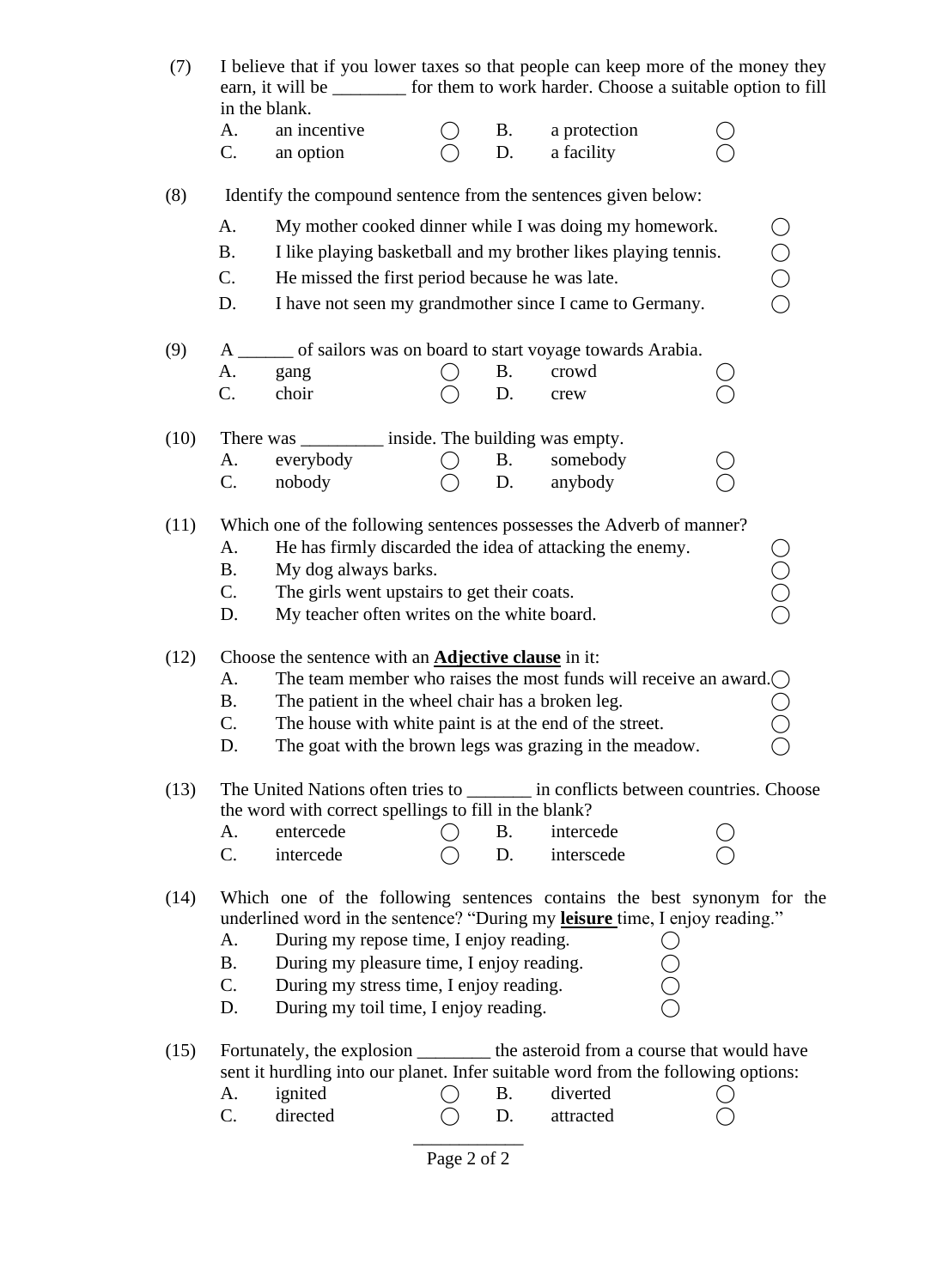| (7)                                                                                    | I believe that if you lower taxes so that people can keep more of the money they<br>earn, it will be __________ for them to work harder. Choose a suitable option to fill<br>in the blank. |                                                                                                                                              |             |           |                                                                |  |                                           |  |  |  |  |
|----------------------------------------------------------------------------------------|--------------------------------------------------------------------------------------------------------------------------------------------------------------------------------------------|----------------------------------------------------------------------------------------------------------------------------------------------|-------------|-----------|----------------------------------------------------------------|--|-------------------------------------------|--|--|--|--|
|                                                                                        | A.                                                                                                                                                                                         | an incentive                                                                                                                                 |             | Β.        | a protection                                                   |  |                                           |  |  |  |  |
|                                                                                        | C.                                                                                                                                                                                         | an option                                                                                                                                    |             | D.        | a facility                                                     |  |                                           |  |  |  |  |
| (8)                                                                                    |                                                                                                                                                                                            | Identify the compound sentence from the sentences given below:                                                                               |             |           |                                                                |  |                                           |  |  |  |  |
|                                                                                        | Α.                                                                                                                                                                                         |                                                                                                                                              |             |           | My mother cooked dinner while I was doing my homework.         |  |                                           |  |  |  |  |
|                                                                                        | <b>B.</b>                                                                                                                                                                                  |                                                                                                                                              |             |           | I like playing basketball and my brother likes playing tennis. |  | $\begin{matrix} 0 \\ 0 \\ 0 \end{matrix}$ |  |  |  |  |
|                                                                                        | C.                                                                                                                                                                                         | He missed the first period because he was late.                                                                                              |             |           |                                                                |  |                                           |  |  |  |  |
|                                                                                        | D.                                                                                                                                                                                         |                                                                                                                                              |             |           | I have not seen my grandmother since I came to Germany.        |  |                                           |  |  |  |  |
| (9)                                                                                    | A                                                                                                                                                                                          |                                                                                                                                              |             |           | of sailors was on board to start voyage towards Arabia.        |  |                                           |  |  |  |  |
|                                                                                        | A.                                                                                                                                                                                         | gang                                                                                                                                         |             | Β.        | crowd                                                          |  |                                           |  |  |  |  |
|                                                                                        | C.                                                                                                                                                                                         | choir                                                                                                                                        |             | D.        | crew                                                           |  |                                           |  |  |  |  |
| (10)                                                                                   |                                                                                                                                                                                            | There was ____________ inside. The building was empty.                                                                                       |             |           |                                                                |  |                                           |  |  |  |  |
|                                                                                        | A.                                                                                                                                                                                         | everybody                                                                                                                                    |             | <b>B.</b> | somebody                                                       |  |                                           |  |  |  |  |
|                                                                                        | C.                                                                                                                                                                                         | nobody                                                                                                                                       |             | D.        | anybody                                                        |  |                                           |  |  |  |  |
| (11)                                                                                   |                                                                                                                                                                                            | Which one of the following sentences possesses the Adverb of manner?                                                                         |             |           |                                                                |  |                                           |  |  |  |  |
|                                                                                        | А.                                                                                                                                                                                         |                                                                                                                                              |             |           |                                                                |  |                                           |  |  |  |  |
|                                                                                        | <b>B.</b>                                                                                                                                                                                  | He has firmly discarded the idea of attacking the enemy.<br>My dog always barks.                                                             |             |           |                                                                |  |                                           |  |  |  |  |
|                                                                                        | C.                                                                                                                                                                                         | The girls went upstairs to get their coats.                                                                                                  |             |           |                                                                |  | ŎOC                                       |  |  |  |  |
|                                                                                        | D.                                                                                                                                                                                         | My teacher often writes on the white board.                                                                                                  |             |           |                                                                |  |                                           |  |  |  |  |
| (12)                                                                                   |                                                                                                                                                                                            | Choose the sentence with an <b>Adjective clause</b> in it:                                                                                   |             |           |                                                                |  |                                           |  |  |  |  |
|                                                                                        | The team member who raises the most funds will receive an award. $\bigcap$<br>А.                                                                                                           |                                                                                                                                              |             |           |                                                                |  |                                           |  |  |  |  |
|                                                                                        | <b>B.</b>                                                                                                                                                                                  | The patient in the wheel chair has a broken leg.                                                                                             |             |           |                                                                |  |                                           |  |  |  |  |
|                                                                                        | C.                                                                                                                                                                                         | The house with white paint is at the end of the street.                                                                                      |             |           |                                                                |  |                                           |  |  |  |  |
|                                                                                        | D.                                                                                                                                                                                         |                                                                                                                                              |             |           | The goat with the brown legs was grazing in the meadow.        |  |                                           |  |  |  |  |
| (13)                                                                                   |                                                                                                                                                                                            | The United Nations often tries to __________ in conflicts between countries. Choose<br>the word with correct spellings to fill in the blank? |             |           |                                                                |  |                                           |  |  |  |  |
|                                                                                        | A.                                                                                                                                                                                         | entercede                                                                                                                                    |             | B.        | intercede                                                      |  |                                           |  |  |  |  |
|                                                                                        | $C_{\cdot}$                                                                                                                                                                                | intercede                                                                                                                                    |             | D.        | interscede                                                     |  |                                           |  |  |  |  |
| (14)                                                                                   |                                                                                                                                                                                            | Which one of the following sentences contains the best synonym for the                                                                       |             |           |                                                                |  |                                           |  |  |  |  |
|                                                                                        |                                                                                                                                                                                            | underlined word in the sentence? "During my leisure time, I enjoy reading."                                                                  |             |           |                                                                |  |                                           |  |  |  |  |
|                                                                                        | During my repose time, I enjoy reading.<br>А.                                                                                                                                              |                                                                                                                                              |             |           |                                                                |  |                                           |  |  |  |  |
|                                                                                        | <b>B.</b><br>During my pleasure time, I enjoy reading.                                                                                                                                     |                                                                                                                                              |             |           |                                                                |  |                                           |  |  |  |  |
| C.<br>During my stress time, I enjoy reading.<br>During my toil time, I enjoy reading. |                                                                                                                                                                                            |                                                                                                                                              |             |           |                                                                |  |                                           |  |  |  |  |
|                                                                                        | D.                                                                                                                                                                                         |                                                                                                                                              |             |           |                                                                |  |                                           |  |  |  |  |
| (15)                                                                                   |                                                                                                                                                                                            | Fortunately, the explosion __________ the asteroid from a course that would have                                                             |             |           |                                                                |  |                                           |  |  |  |  |
|                                                                                        |                                                                                                                                                                                            | sent it hurdling into our planet. Infer suitable word from the following options:                                                            |             |           |                                                                |  |                                           |  |  |  |  |
|                                                                                        | А.                                                                                                                                                                                         | ignited                                                                                                                                      |             | B.        | diverted                                                       |  |                                           |  |  |  |  |
|                                                                                        | C.                                                                                                                                                                                         | directed                                                                                                                                     |             | D.        | attracted                                                      |  |                                           |  |  |  |  |
|                                                                                        |                                                                                                                                                                                            |                                                                                                                                              | Page 2 of 2 |           |                                                                |  |                                           |  |  |  |  |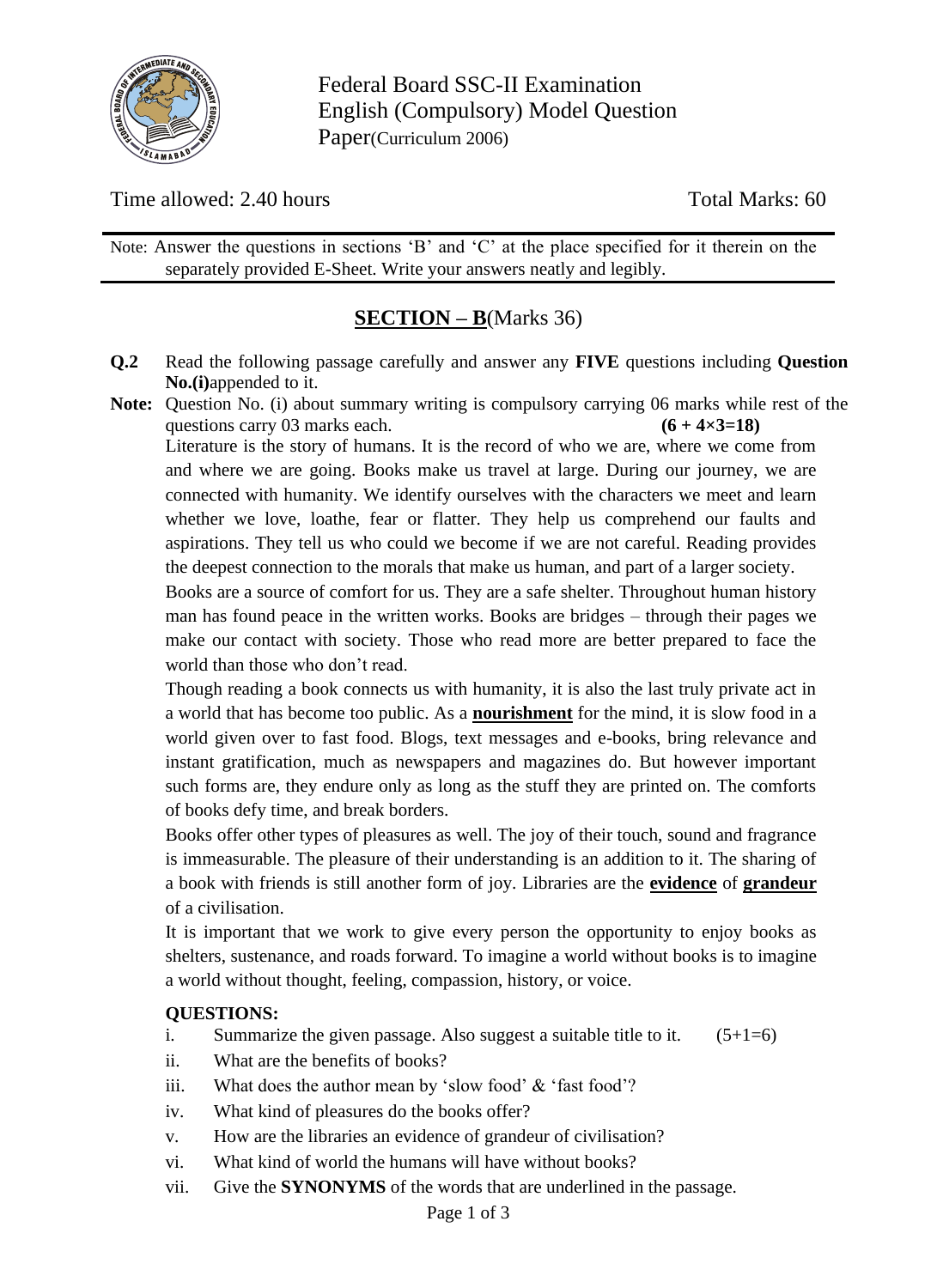

Federal Board SSC-II Examination English (Compulsory) Model Question Paper(Curriculum 2006)

Time allowed: 2.40 hours Total Marks: 60

Note: Answer the questions in sections 'B' and 'C' at the place specified for it therein on the separately provided E-Sheet. Write your answers neatly and legibly.

## **SECTION – B**(Marks 36)

- **Q.2** Read the following passage carefully and answer any **FIVE** questions including **Question No.(i)**appended to it.
- **Note:** Question No. (i) about summary writing is compulsory carrying 06 marks while rest of the questions carry 03 marks each.  $(6 + 4 \times 3 = 18)$

Literature is the story of humans. It is the record of who we are, where we come from and where we are going. Books make us travel at large. During our journey, we are connected with humanity. We identify ourselves with the characters we meet and learn whether we love, loathe, fear or flatter. They help us comprehend our faults and aspirations. They tell us who could we become if we are not careful. Reading provides the deepest connection to the morals that make us human, and part of a larger society.

Books are a source of comfort for us. They are a safe shelter. Throughout human history man has found peace in the written works. Books are bridges – through their pages we make our contact with society. Those who read more are better prepared to face the world than those who don't read.

Though reading a book connects us with humanity, it is also the last truly private act in a world that has become too public. As a **nourishment** for the mind, it is slow food in a world given over to fast food. Blogs, text messages and e-books, bring relevance and instant gratification, much as newspapers and magazines do. But however important such forms are, they endure only as long as the stuff they are printed on. The comforts of books defy time, and break borders.

Books offer other types of pleasures as well. The joy of their touch, sound and fragrance is immeasurable. The pleasure of their understanding is an addition to it. The sharing of a book with friends is still another form of joy. Libraries are the **evidence** of **grandeur** of a civilisation.

It is important that we work to give every person the opportunity to enjoy books as shelters, sustenance, and roads forward. To imagine a world without books is to imagine a world without thought, feeling, compassion, history, or voice.

#### **QUESTIONS:**

- i. Summarize the given passage. Also suggest a suitable title to it.  $(5+1=6)$
- ii. What are the benefits of books?
- iii. What does the author mean by 'slow food' & 'fast food'?
- iv. What kind of pleasures do the books offer?
- v. How are the libraries an evidence of grandeur of civilisation?
- vi. What kind of world the humans will have without books?
- vii. Give the **SYNONYMS** of the words that are underlined in the passage.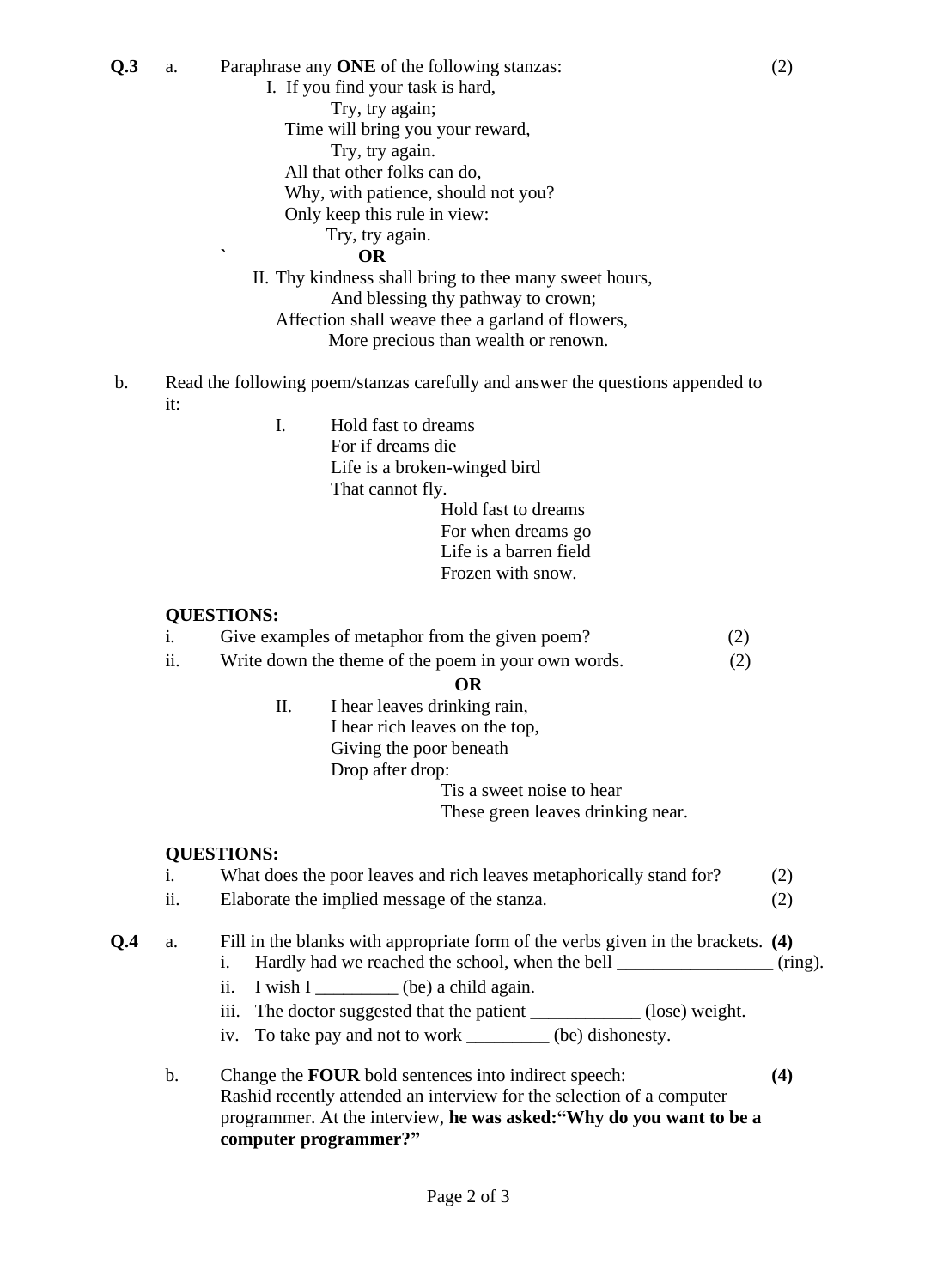**Q.3** a. Paraphrase any **ONE** of the following stanzas: (2)

I. If you find your task is hard,

Try, try again;

Time will bring you your reward,

Try, try again.

All that other folks can do,

Why, with patience, should not you?

Only keep this rule in view:

#### Try, try again.

**` OR**

II. Thy kindness shall bring to thee many sweet hours, And blessing thy pathway to crown; Affection shall weave thee a garland of flowers,

More precious than wealth or renown.

- b. Read the following poem/stanzas carefully and answer the questions appended to it:
	-

I. Hold fast to dreams For if dreams die Life is a broken-winged bird That cannot fly. Hold fast to dreams For when dreams go Life is a barren field Frozen with snow.

#### **QUESTIONS:**

i. Give examples of metaphor from the given poem? (2)

ii. Write down the theme of the poem in your own words. (2)

#### **OR**

II. I hear leaves drinking rain, I hear rich leaves on the top, Giving the poor beneath Drop after drop:

Tis a sweet noise to hear

These green leaves drinking near.

#### **QUESTIONS:**

## i. What does the poor leaves and rich leaves metaphorically stand for? (2)

ii. Elaborate the implied message of the stanza. (2)

**Q.4** a. Fill in the blanks with appropriate form of the verbs given in the brackets. **(4)**

- i. Hardly had we reached the school, when the bell  $\qquad \qquad$  (ring).
	- ii. I wish I \_\_\_\_\_\_\_\_\_ (be) a child again.
	- iii. The doctor suggested that the patient \_\_\_\_\_\_\_\_\_\_\_\_ (lose) weight.
	- iv. To take pay and not to work \_\_\_\_\_\_\_\_\_ (be) dishonesty.
- b. Change the **FOUR** bold sentences into indirect speech: **(4)** Rashid recently attended an interview for the selection of a computer programmer. At the interview, **he was asked:"Why do you want to be a computer programmer?"**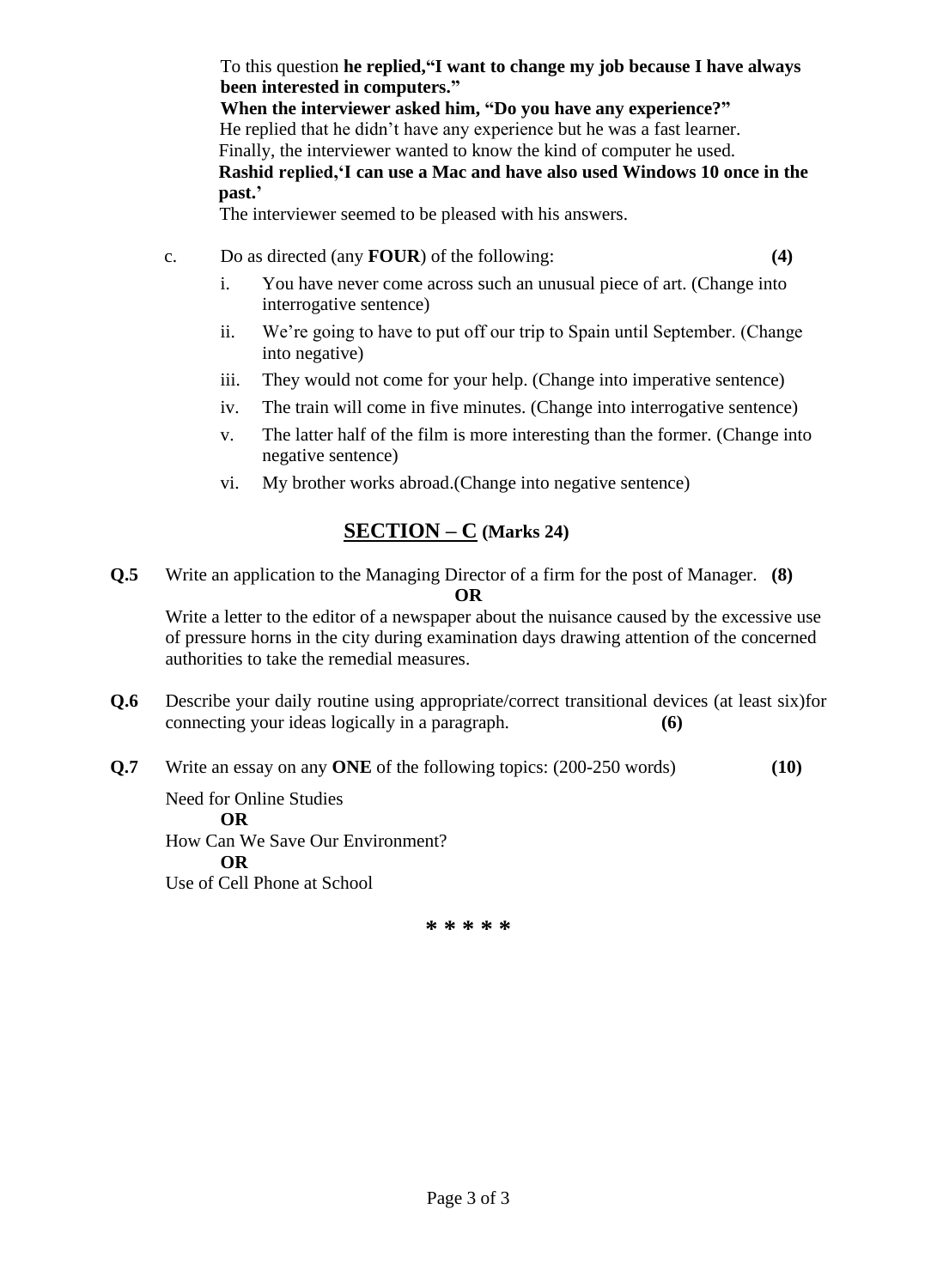To this question **he replied,"I want to change my job because I have always been interested in computers."**

**When the interviewer asked him, "Do you have any experience?"** He replied that he didn't have any experience but he was a fast learner. Finally, the interviewer wanted to know the kind of computer he used. **Rashid replied,'I can use a Mac and have also used Windows 10 once in the past.'**

The interviewer seemed to be pleased with his answers.

- c. Do as directed (any **FOUR**) of the following: **(4)**
	- i. You have never come across such an unusual piece of art. (Change into interrogative sentence)
	- ii. We're going to have to put off our trip to Spain until September. (Change into negative)
	- iii. They would not come for your help. (Change into imperative sentence)
	- iv. The train will come in five minutes. (Change into interrogative sentence)
	- v. The latter half of the film is more interesting than the former. (Change into negative sentence)
	- vi. My brother works abroad.(Change into negative sentence)

## **SECTION – C (Marks 24)**

**Q.5** Write an application to the Managing Director of a firm for the post of Manager. **(8) OR**

Write a letter to the editor of a newspaper about the nuisance caused by the excessive use of pressure horns in the city during examination days drawing attention of the concerned authorities to take the remedial measures.

- **Q.6** Describe your daily routine using appropriate/correct transitional devices (at least six)for connecting your ideas logically in a paragraph. **(6)**
- **Q.7** Write an essay on any **ONE** of the following topics: (200-250 words) **(10)**

Need for Online Studies **OR** How Can We Save Our Environment? **OR** Use of Cell Phone at School

**\* \* \* \* \***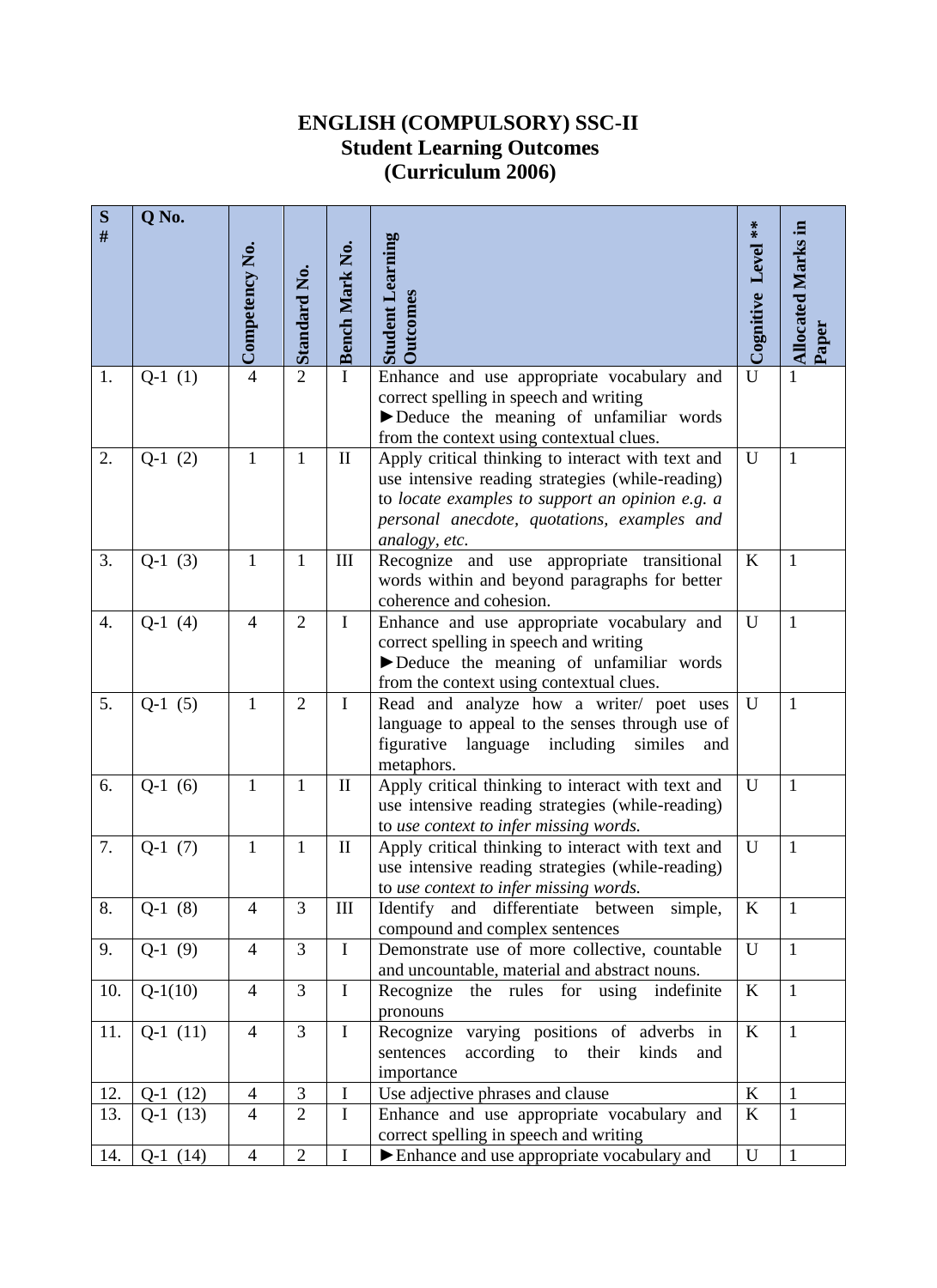## **ENGLISH (COMPULSORY) SSC-II Student Learning Outcomes (Curriculum 2006)**

| S    | Q No.     |                |                     |                       |                                                                                                       |                    |                           |
|------|-----------|----------------|---------------------|-----------------------|-------------------------------------------------------------------------------------------------------|--------------------|---------------------------|
| $\#$ |           |                |                     |                       |                                                                                                       |                    |                           |
|      |           | Competency No. |                     | <b>Bench Mark No.</b> | <b>Student Learning</b>                                                                               | Cognitive Level ** | <b>Allocated Marks in</b> |
|      |           |                | <b>Standard No.</b> |                       |                                                                                                       |                    |                           |
|      |           |                |                     |                       | <b>Dutcomes</b>                                                                                       |                    |                           |
|      |           |                |                     |                       |                                                                                                       |                    |                           |
|      |           |                |                     |                       |                                                                                                       |                    |                           |
| 1.   | $Q-1(1)$  | $\overline{4}$ | $\overline{2}$      | $\mathbf{I}$          | Enhance and use appropriate vocabulary and                                                            | U                  | $\mathbf{1}$              |
|      |           |                |                     |                       | correct spelling in speech and writing                                                                |                    |                           |
|      |           |                |                     |                       | Deduce the meaning of unfamiliar words                                                                |                    |                           |
| 2.   | $Q-1(2)$  | $\mathbf{1}$   | $\mathbf{1}$        | $\mathbf{I}$          | from the context using contextual clues.                                                              | U                  | $\mathbf{1}$              |
|      |           |                |                     |                       | Apply critical thinking to interact with text and<br>use intensive reading strategies (while-reading) |                    |                           |
|      |           |                |                     |                       | to locate examples to support an opinion e.g. a                                                       |                    |                           |
|      |           |                |                     |                       | personal anecdote, quotations, examples and                                                           |                    |                           |
|      |           |                |                     |                       | analogy, etc.                                                                                         |                    |                           |
| 3.   | $Q-1(3)$  | $\mathbf{1}$   | $\mathbf{1}$        | III                   | Recognize and use appropriate transitional                                                            | $\bf K$            | $\mathbf{1}$              |
|      |           |                |                     |                       | words within and beyond paragraphs for better                                                         |                    |                           |
|      |           |                |                     |                       | coherence and cohesion.                                                                               |                    |                           |
| 4.   | $Q-1$ (4) | $\overline{4}$ | $\overline{2}$      | $\mathbf I$           | Enhance and use appropriate vocabulary and                                                            | U                  | $\mathbf{1}$              |
|      |           |                |                     |                       | correct spelling in speech and writing                                                                |                    |                           |
|      |           |                |                     |                       | Deduce the meaning of unfamiliar words                                                                |                    |                           |
|      |           |                |                     |                       | from the context using contextual clues.                                                              |                    |                           |
| 5.   | $Q-1(5)$  | 1              | $\overline{2}$      | I                     | Read and analyze how a writer/ poet uses                                                              | U                  | $\mathbf{1}$              |
|      |           |                |                     |                       | language to appeal to the senses through use of                                                       |                    |                           |
|      |           |                |                     |                       | figurative<br>language including<br>similes<br>and<br>metaphors.                                      |                    |                           |
| 6.   | $Q-1(6)$  | $\mathbf{1}$   | 1                   | $\mathbf{I}$          | Apply critical thinking to interact with text and                                                     | U                  | $\mathbf{1}$              |
|      |           |                |                     |                       | use intensive reading strategies (while-reading)                                                      |                    |                           |
|      |           |                |                     |                       | to use context to infer missing words.                                                                |                    |                           |
| 7.   | $Q-1(7)$  | $\mathbf{1}$   | $\mathbf{1}$        | $\mathbf{I}$          | Apply critical thinking to interact with text and                                                     | $\mathbf U$        | $\mathbf{1}$              |
|      |           |                |                     |                       | use intensive reading strategies (while-reading)                                                      |                    |                           |
|      |           |                |                     |                       | to use context to infer missing words.                                                                |                    |                           |
| 8.   | $Q-1(8)$  | $\overline{4}$ | 3                   | III                   | Identify and differentiate between simple,                                                            | K                  | $\mathbf{1}$              |
|      |           |                |                     |                       | compound and complex sentences                                                                        |                    |                           |
| 9.   | $Q-1(9)$  | $\overline{4}$ | 3                   | $\mathbf I$           | Demonstrate use of more collective, countable                                                         | U                  | $\mathbf{1}$              |
|      |           |                |                     |                       | and uncountable, material and abstract nouns.                                                         |                    |                           |
| 10.  | $Q-1(10)$ | $\overline{4}$ | 3                   | $\mathbf I$           | Recognize the rules for using indefinite                                                              | $\bf K$            | $\mathbf{1}$              |
|      |           |                | 3                   |                       | pronouns                                                                                              |                    |                           |
| 11.  | $Q-1(11)$ | $\overline{4}$ |                     | $\mathbf I$           | Recognize varying positions of adverbs in<br>according to their<br>sentences<br>kinds                 | $\rm K$            | $\mathbf{1}$              |
|      |           |                |                     |                       | and<br>importance                                                                                     |                    |                           |
| 12.  | $Q-1(12)$ | $\overline{4}$ | 3                   | $\mathbf I$           | Use adjective phrases and clause                                                                      | $\rm K$            | $\mathbf{1}$              |
| 13.  | $Q-1(13)$ | $\overline{4}$ | $\overline{2}$      | $\mathbf I$           | Enhance and use appropriate vocabulary and                                                            | $\bf K$            | $\mathbf{1}$              |
|      |           |                |                     |                       | correct spelling in speech and writing                                                                |                    |                           |
| 14.  | $Q-1(14)$ | $\overline{4}$ | $\overline{2}$      | I                     | Enhance and use appropriate vocabulary and                                                            | U                  | $\mathbf{1}$              |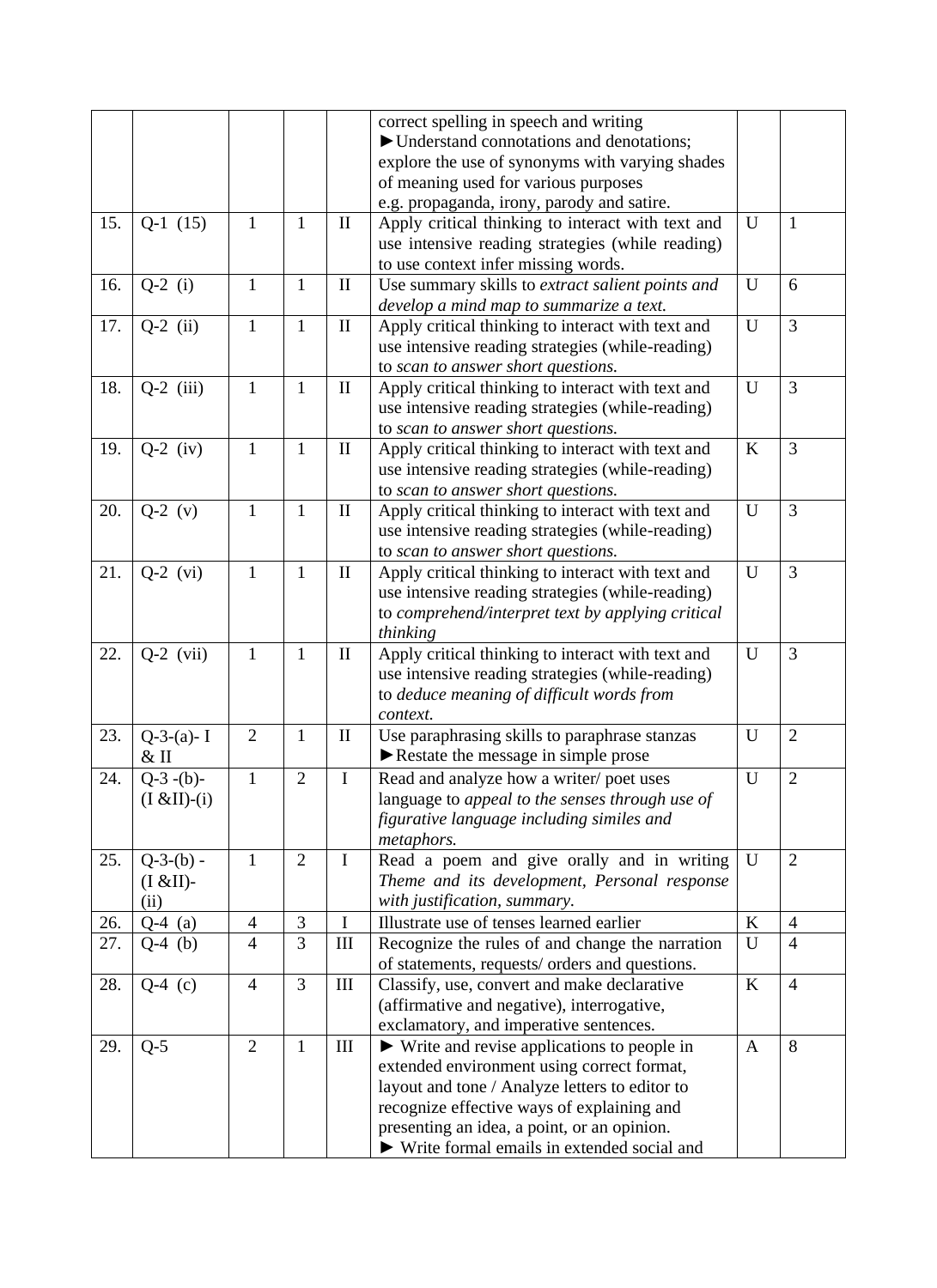|     |                                  |                |                |                    | correct spelling in speech and writing<br>► Understand connotations and denotations;<br>explore the use of synonyms with varying shades                                                                                                                                                                  |              |                |
|-----|----------------------------------|----------------|----------------|--------------------|----------------------------------------------------------------------------------------------------------------------------------------------------------------------------------------------------------------------------------------------------------------------------------------------------------|--------------|----------------|
|     |                                  |                |                |                    | of meaning used for various purposes<br>e.g. propaganda, irony, parody and satire.                                                                                                                                                                                                                       |              |                |
| 15. | $Q-1(15)$                        | $\mathbf{1}$   | 1              | $\rm II$           | Apply critical thinking to interact with text and<br>use intensive reading strategies (while reading)<br>to use context infer missing words.                                                                                                                                                             | U            | $\mathbf{1}$   |
| 16. | $Q-2$ (i)                        | $\mathbf{1}$   | 1              | $\mathbf{I}$       | Use summary skills to extract salient points and<br>develop a mind map to summarize a text.                                                                                                                                                                                                              | U            | 6              |
| 17. | $Q-2$ (ii)                       | $\mathbf{1}$   | $\mathbf{1}$   | $\mathbf{I}$       | Apply critical thinking to interact with text and<br>use intensive reading strategies (while-reading)<br>to scan to answer short questions.                                                                                                                                                              | U            | $\overline{3}$ |
| 18. | $Q-2$ (iii)                      | 1              | $\mathbf{1}$   | $\rm II$           | Apply critical thinking to interact with text and<br>use intensive reading strategies (while-reading)<br>to scan to answer short questions.                                                                                                                                                              | U            | $\overline{3}$ |
| 19. | $Q-2$ (iv)                       | $\mathbf{1}$   | 1              | $\mathbf{I}$       | Apply critical thinking to interact with text and<br>use intensive reading strategies (while-reading)<br>to scan to answer short questions.                                                                                                                                                              | $\bf K$      | $\overline{3}$ |
| 20. | $Q-2 (v)$                        | $\mathbf{1}$   | $\mathbf{1}$   | $\mathbf{I}$       | Apply critical thinking to interact with text and<br>use intensive reading strategies (while-reading)<br>to scan to answer short questions.                                                                                                                                                              | U            | $\overline{3}$ |
| 21. | $Q-2$ (vi)                       | $\mathbf{1}$   | 1              | $\mathbf{I}$       | Apply critical thinking to interact with text and<br>use intensive reading strategies (while-reading)<br>to comprehend/interpret text by applying critical<br>thinking                                                                                                                                   | U            | 3              |
| 22. | $Q-2$ (vii)                      | $\mathbf{1}$   | $\mathbf{1}$   | $\rm II$           | Apply critical thinking to interact with text and<br>use intensive reading strategies (while-reading)<br>to deduce meaning of difficult words from<br>context.                                                                                                                                           | U            | 3              |
| 23. | $Q-3-(a)-I$<br>$&$ II            | $\overline{2}$ | $\mathbf{1}$   | $\mathbf{I}$       | Use paraphrasing skills to paraphrase stanzas<br>Restate the message in simple prose                                                                                                                                                                                                                     | U            | $\overline{2}$ |
| 24. | $Q-3-(b)-$<br>$(I & I(I) - (i)$  | $\mathbf{1}$   | $\overline{2}$ | $\mathbf I$        | Read and analyze how a writer/poet uses<br>language to appeal to the senses through use of<br>figurative language including similes and<br>metaphors.                                                                                                                                                    | U            | $\overline{2}$ |
| 25. | $Q-3-(b) -$<br>(I & EII)<br>(ii) | $\mathbf{1}$   | $\overline{2}$ | $\mathbf I$        | Read a poem and give orally and in writing<br>Theme and its development, Personal response<br>with justification, summary.                                                                                                                                                                               | U            | $\overline{2}$ |
| 26. | $Q-4$ (a)                        | $\overline{4}$ | 3              | $\mathbf I$        | Illustrate use of tenses learned earlier                                                                                                                                                                                                                                                                 | $\bf K$      | $\overline{4}$ |
| 27. | $Q-4$ (b)                        | $\overline{4}$ | 3              | $\mathop{\rm III}$ | Recognize the rules of and change the narration<br>of statements, requests/ orders and questions.                                                                                                                                                                                                        | U            | $\overline{4}$ |
| 28. | $Q-4$ (c)                        | $\overline{4}$ | 3              | III                | Classify, use, convert and make declarative<br>(affirmative and negative), interrogative,<br>exclamatory, and imperative sentences.                                                                                                                                                                      | K            | $\overline{4}$ |
| 29. | $Q-5$                            | $\overline{2}$ | $\mathbf{1}$   | $\rm III$          | $\triangleright$ Write and revise applications to people in<br>extended environment using correct format,<br>layout and tone / Analyze letters to editor to<br>recognize effective ways of explaining and<br>presenting an idea, a point, or an opinion.<br>► Write formal emails in extended social and | $\mathbf{A}$ | 8              |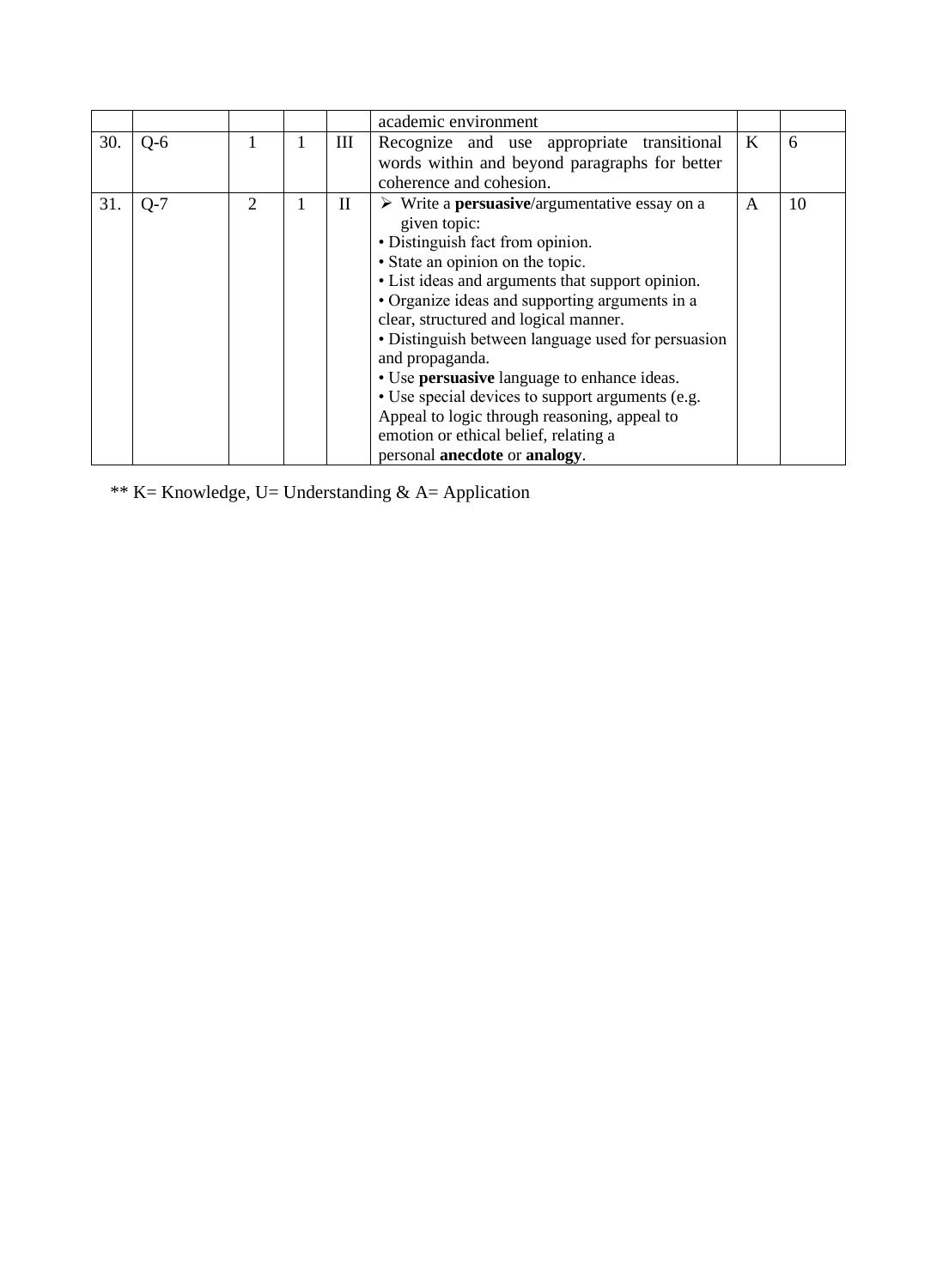|     |       |   |             | academic environment                                                                                                                                                                                                                                                                                                                                                                                                                                                                                                                                                                                              |   |    |
|-----|-------|---|-------------|-------------------------------------------------------------------------------------------------------------------------------------------------------------------------------------------------------------------------------------------------------------------------------------------------------------------------------------------------------------------------------------------------------------------------------------------------------------------------------------------------------------------------------------------------------------------------------------------------------------------|---|----|
| 30. | $O-6$ |   | Ш           | Recognize and use appropriate transitional<br>words within and beyond paragraphs for better<br>coherence and cohesion.                                                                                                                                                                                                                                                                                                                                                                                                                                                                                            | K | 6  |
| 31. | $Q-7$ | 2 | $_{\rm II}$ | $\triangleright$ Write a <b>persuasive</b> /argumentative essay on a<br>given topic:<br>• Distinguish fact from opinion.<br>• State an opinion on the topic.<br>• List ideas and arguments that support opinion.<br>• Organize ideas and supporting arguments in a<br>clear, structured and logical manner.<br>• Distinguish between language used for persuasion<br>and propaganda.<br>• Use persuasive language to enhance ideas.<br>• Use special devices to support arguments (e.g.<br>Appeal to logic through reasoning, appeal to<br>emotion or ethical belief, relating a<br>personal anecdote or analogy. | A | 10 |

\*\* K= Knowledge, U= Understanding & A= Application